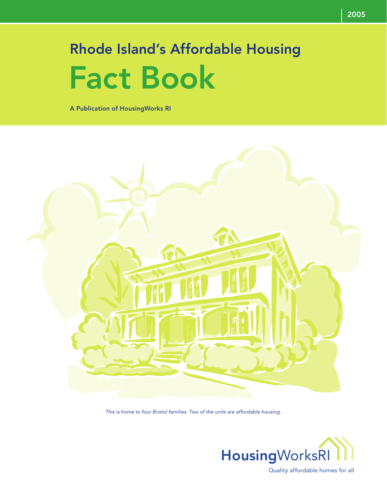# Rhode Island's Affordable Housing Fact Book

A Publication of HousingWorks RI



This is home to four Bristol families. Two of the units are affordable housing.



Quality affordable homes for all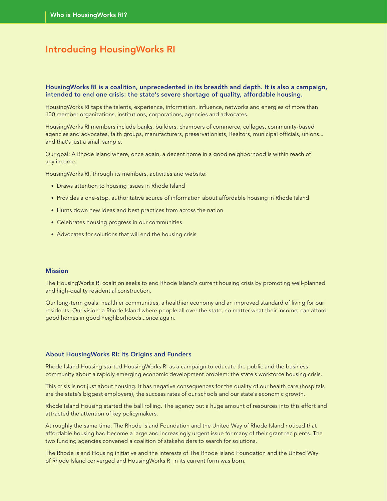### Introducing HousingWorks RI

### HousingWorks RI is a coalition, unprecedented in its breadth and depth. It is also a campaign, intended to end one crisis: the state's severe shortage of quality, affordable housing.

HousingWorks RI taps the talents, experience, information, influence, networks and energies of more than 100 member organizations, institutions, corporations, agencies and advocates.

HousingWorks RI members include banks, builders, chambers of commerce, colleges, community-based agencies and advocates, faith groups, manufacturers, preservationists, Realtors, municipal officials, unions... and that's just a small sample.

Our goal: A Rhode Island where, once again, a decent home in a good neighborhood is within reach of any income.

HousingWorks RI, through its members, activities and website:

- Draws attention to housing issues in Rhode Island
- Provides a one-stop, authoritative source of information about affordable housing in Rhode Island
- Hunts down new ideas and best practices from across the nation
- Celebrates housing progress in our communities
- Advocates for solutions that will end the housing crisis

### Mission

The HousingWorks RI coalition seeks to end Rhode Island's current housing crisis by promoting well-planned and high-quality residential construction.

Our long-term goals: healthier communities, a healthier economy and an improved standard of living for our residents. Our vision: a Rhode Island where people all over the state, no matter what their income, can afford good homes in good neighborhoods...once again.

### About HousingWorks RI: Its Origins and Funders

Rhode Island Housing started HousingWorks RI as a campaign to educate the public and the business community about a rapidly emerging economic development problem: the state's workforce housing crisis.

This crisis is not just about housing. It has negative consequences for the quality of our health care (hospitals are the state's biggest employers), the success rates of our schools and our state's economic growth.

Rhode Island Housing started the ball rolling. The agency put a huge amount of resources into this effort and attracted the attention of key policymakers.

At roughly the same time, The Rhode Island Foundation and the United Way of Rhode Island noticed that affordable housing had become a large and increasingly urgent issue for many of their grant recipients. The two funding agencies convened a coalition of stakeholders to search for solutions.

The Rhode Island Housing initiative and the interests of The Rhode Island Foundation and the United Way of Rhode Island converged and HousingWorks RI in its current form was born.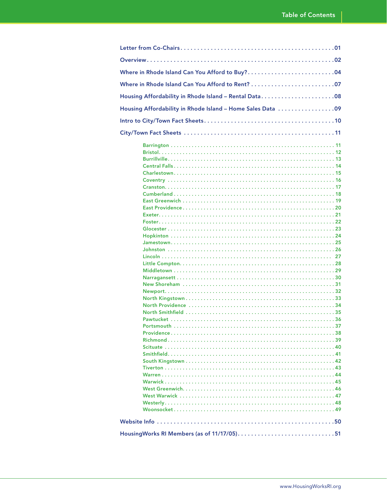| Housing Affordability in Rhode Island - Rental Data08       |
|-------------------------------------------------------------|
| Housing Affordability in Rhode Island - Home Sales Data  09 |
|                                                             |
|                                                             |
|                                                             |
|                                                             |
|                                                             |
|                                                             |
|                                                             |
|                                                             |
|                                                             |
|                                                             |
|                                                             |
|                                                             |
|                                                             |
|                                                             |
|                                                             |
|                                                             |
|                                                             |
|                                                             |
|                                                             |
|                                                             |
|                                                             |
|                                                             |
|                                                             |
|                                                             |
|                                                             |
|                                                             |
|                                                             |
|                                                             |
|                                                             |
|                                                             |
|                                                             |
|                                                             |
|                                                             |
|                                                             |
|                                                             |
|                                                             |
|                                                             |
|                                                             |
|                                                             |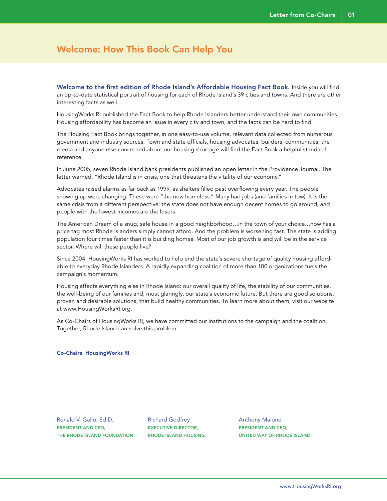### Welcome: How This Book Can Help You

Welcome to the first edition of Rhode Island's Affordable Housing Fact Book. Inside you will find an up-to-date statistical portrait of housing for each of Rhode Island's 39 cities and towns. And there are other interesting facts as well.

HousingWorks RI published the Fact Book to help Rhode Islanders better understand their own communities. Housing affordability has become an issue in every city and town, and the facts can be hard to find.

The Housing Fact Book brings together, in one easy-to-use volume, relevant data collected from numerous government and industry sources. Town and state officials, housing advocates, builders, communities, the media and anyone else concerned about our housing shortage will find the Fact Book a helpful standard reference.

In June 2005, seven Rhode Island bank presidents published an open letter in the Providence Journal. The letter warned, "Rhode Island is in crisis, one that threatens the vitality of our economy."

Advocates raised alarms as far back as 1999, as shelters filled past overflowing every year. The people showing up were changing. These were "the new homeless." Many had jobs (and families in tow). It is the same crisis from a different perspective: the state does not have enough decent homes to go around, and people with the lowest incomes are the losers.

The American Dream of a snug, safe house in a good neighborhood…in the town of your choice…now has a price tag most Rhode Islanders simply cannot afford. And the problem is worsening fast. The state is adding population four times faster than it is building homes. Most of our job growth is and will be in the service sector. Where will these people live?

Since 2004, HousingWorks RI has worked to help end the state's severe shortage of quality housing affordable to everyday Rhode Islanders. A rapidly expanding coalition of more than 100 organizations fuels the campaign's momentum.

Housing affects everything else in Rhode Island: our overall quality of life, the stability of our communities, the well-being of our families and, most glaringly, our state's economic future. But there are good solutions, proven and desirable solutions, that build healthy communities. To learn more about them, visit our website at www.HousingWorksRI.org.

As Co-Chairs of HousingWorks RI, we have committed our institutions to the campaign and the coalition. Together, Rhode Island can solve this problem.

#### Co-Chairs, HousingWorks RI

Ronald V. Gallo, Ed.D. President and CEO, The Rhode Island Foundation

Richard Godfrey Executive Director, Rhode Island Housing Anthony Maione President and CEO, United Way of Rhode Island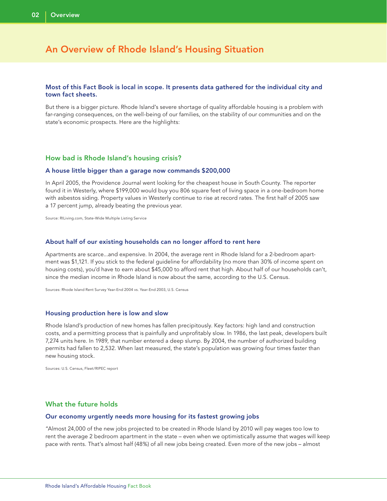### An Overview of Rhode Island's Housing Situation

### Most of this Fact Book is local in scope. It presents data gathered for the individual city and town fact sheets.

But there is a bigger picture. Rhode Island's severe shortage of quality affordable housing is a problem with far-ranging consequences, on the well-being of our families, on the stability of our communities and on the state's economic prospects. Here are the highlights:

### How bad is Rhode Island's housing crisis?

#### A house little bigger than a garage now commands \$200,000

In April 2005, the Providence Journal went looking for the cheapest house in South County. The reporter found it in Westerly, where \$199,000 would buy you 806 square feet of living space in a one-bedroom home with asbestos siding. Property values in Westerly continue to rise at record rates. The first half of 2005 saw a 17 percent jump, already beating the previous year.

Source: RILiving.com, State-Wide Multiple Listing Service

#### About half of our existing households can no longer afford to rent here

Apartments are scarce...and expensive. In 2004, the average rent in Rhode Island for a 2-bedroom apartment was \$1,121. If you stick to the federal guideline for affordability (no more than 30% of income spent on housing costs), you'd have to earn about \$45,000 to afford rent that high. About half of our households can't, since the median income in Rhode Island is now about the same, according to the U.S. Census.

Sources: Rhode Island Rent Survey Year-End 2004 vs. Year-End 2003, U.S. Census

#### Housing production here is low and slow

Rhode Island's production of new homes has fallen precipitously. Key factors: high land and construction costs, and a permitting process that is painfully and unprofitably slow. In 1986, the last peak, developers built 7,274 units here. In 1989, that number entered a deep slump. By 2004, the number of authorized building permits had fallen to 2,532. When last measured, the state's population was growing four times faster than new housing stock.

Sources: U.S. Census, Fleet/RIPEC report

### What the future holds

#### Our economy urgently needs more housing for its fastest growing jobs

"Almost 24,000 of the new jobs projected to be created in Rhode Island by 2010 will pay wages too low to rent the average 2 bedroom apartment in the state – even when we optimistically assume that wages will keep pace with rents. That's almost half (48%) of all new jobs being created. Even more of the new jobs – almost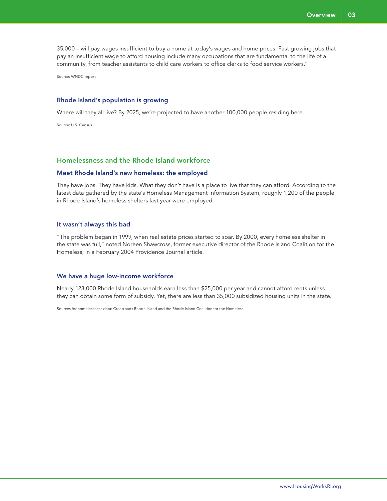35,000 – will pay wages insufficient to buy a home at today's wages and home prices. Fast growing jobs that pay an insufficient wage to afford housing include many occupations that are fundamental to the life of a community, from teacher assistants to child care workers to office clerks to food service workers."

Source: WNDC report

### Rhode Island's population is growing

Where will they all live? By 2025, we're projected to have another 100,000 people residing here.

Source: U.S. Census

### Homelessness and the Rhode Island workforce

### Meet Rhode Island's new homeless: the employed

They have jobs. They have kids. What they don't have is a place to live that they can afford. According to the latest data gathered by the state's Homeless Management Information System, roughly 1,200 of the people in Rhode Island's homeless shelters last year were employed.

#### It wasn't always this bad

"The problem began in 1999, when real estate prices started to soar. By 2000, every homeless shelter in the state was full," noted Noreen Shawcross, former executive director of the Rhode Island Coalition for the Homeless, in a February 2004 Providence Journal article.

#### We have a huge low-income workforce

Nearly 123,000 Rhode Island households earn less than \$25,000 per year and cannot afford rents unless they can obtain some form of subsidy. Yet, there are less than 35,000 subsidized housing units in the state.

Sources for homelessness data: Crossroads Rhode Island and the Rhode Island Coalition for the Homeless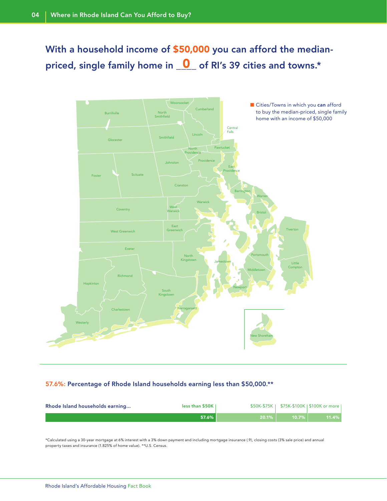With a household income of \$50,000 you can afford the medianpriced, single family home in  $\boxed{\mathbf{0}}$  of RI's 39 cities and towns.\*



### 57.6%: Percentage of Rhode Island households earning less than \$50,000.\*\*

| Rhode Island households earning | less than \$50K |          |                | \$50K-\$75K   \$75K-\$100K   \$100K or more |
|---------------------------------|-----------------|----------|----------------|---------------------------------------------|
|                                 | 57.6%           | $20.1\%$ | 10.7% <b>P</b> | 11.4%                                       |

\*Calculated using a 30-year mortgage at 6% interest with a 3% down payment and including mortgage insurance (.9), closing costs (3% sale price) and annual property taxes and insurance (1.825% of home value). \*\*U.S. Census.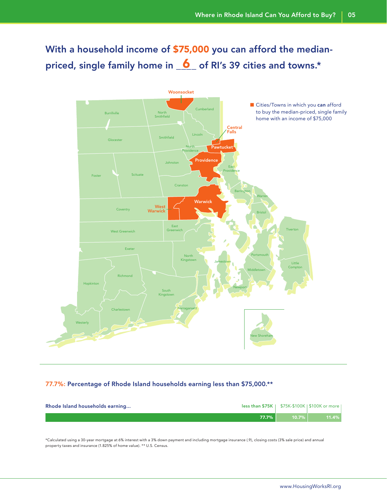With a household income of \$75,000 you can afford the medianpriced, single family home in  $\overline{\mathbf{6}}$  of RI's 39 cities and towns.\*



### 77.7%: Percentage of Rhode Island households earning less than \$75,000.\*\*

| Rhode Island households earning | <b>less than \$75K</b>   \$75K-\$100K   \$100K or more |          |       |
|---------------------------------|--------------------------------------------------------|----------|-------|
|                                 | $77.7\%$                                               | $10.7\%$ | 11.4% |

\*Calculated using a 30-year mortgage at 6% interest with a 3% down payment and including mortgage insurance (.9), closing costs (3% sale price) and annual property taxes and insurance (1.825% of home value). \*\* U.S. Census.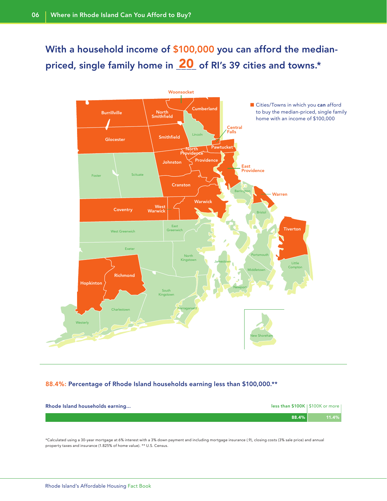With a household income of \$100,000 you can afford the medianpriced, single family home in  $\overline{\bf 20}$  of RI's 39 cities and towns.\*



### 88.4%: Percentage of Rhode Island households earning less than \$100,000.\*\*

| less than \$100K   \$100K or more  <br>Rhode Island households earning |          |
|------------------------------------------------------------------------|----------|
| 88.4%                                                                  | $11.4\%$ |

\*Calculated using a 30-year mortgage at 6% interest with a 3% down payment and including mortgage insurance (.9), closing costs (3% sale price) and annual property taxes and insurance (1.825% of home value). \*\* U.S. Census.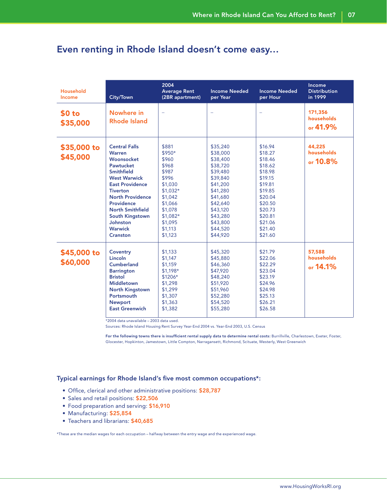### Even renting in Rhode Island doesn't come easy…

| <b>Household</b><br>Income    | City/Town                                                                                                                                                                                                                                                                                                | 2004<br><b>Average Rent</b><br>(2BR apartment)                                                                                                              | <b>Income Needed</b><br>per Year                                                                                                                                                 | <b>Income Needed</b><br>per Hour                                                                                                                                  | Income<br><b>Distribution</b><br>in 1999 |
|-------------------------------|----------------------------------------------------------------------------------------------------------------------------------------------------------------------------------------------------------------------------------------------------------------------------------------------------------|-------------------------------------------------------------------------------------------------------------------------------------------------------------|----------------------------------------------------------------------------------------------------------------------------------------------------------------------------------|-------------------------------------------------------------------------------------------------------------------------------------------------------------------|------------------------------------------|
| \$0 <sub>to</sub><br>\$35,000 | Nowhere in<br><b>Rhode Island</b>                                                                                                                                                                                                                                                                        | $\overline{\phantom{0}}$                                                                                                                                    | $\overline{\phantom{0}}$                                                                                                                                                         |                                                                                                                                                                   | 171,356<br>households<br>or $41.9%$      |
| \$35,000 to<br>\$45,000       | <b>Central Falls</b><br><b>Warren</b><br>Woonsocket<br>Pawtucket<br><b>Smithfield</b><br><b>West Warwick</b><br><b>East Providence</b><br><b>Tiverton</b><br><b>North Providence</b><br>Providence<br><b>North Smithfield</b><br><b>South Kingstown</b><br>Johnston<br><b>Warwick</b><br><b>Cranston</b> | \$881<br>$$950*$<br>\$960<br>\$968<br>\$987<br>\$996<br>\$1,030<br>$$1,032*$<br>\$1,042<br>\$1,066<br>\$1,078<br>$$1.082*$<br>\$1,095<br>\$1,113<br>\$1,123 | \$35,240<br>\$38,000<br>\$38,400<br>\$38,720<br>\$39,480<br>\$39,840<br>\$41,200<br>\$41,280<br>\$41,680<br>\$42,640<br>\$43,120<br>\$43,280<br>\$43,800<br>\$44,520<br>\$44,920 | \$16.94<br>\$18.27<br>\$18.46<br>\$18.62<br>\$18.98<br>\$19.15<br>\$19.81<br>\$19.85<br>\$20.04<br>\$20.50<br>\$20.73<br>\$20.81<br>\$21.06<br>\$21.40<br>\$21.60 | 44,225<br>households<br>or 10.8%         |
| \$45,000 to<br>\$60,000       | Coventry<br>Lincoln<br><b>Cumberland</b><br><b>Barrington</b><br><b>Bristol</b><br><b>Middletown</b><br><b>North Kingstown</b><br>Portsmouth<br><b>Newport</b><br><b>East Greenwich</b>                                                                                                                  | \$1,133<br>\$1,147<br>\$1,159<br>$$1,198*$<br>\$1206*<br>\$1,298<br>\$1,299<br>\$1,307<br>\$1,363<br>\$1,382                                                | \$45,320<br>\$45,880<br>\$46,360<br>\$47,920<br>\$48,240<br>\$51,920<br>\$51,960<br>\$52,280<br>\$54,520<br>\$55,280                                                             | \$21.79<br>\$22.06<br>\$22.29<br>\$23.04<br>\$23.19<br>\$24.96<br>\$24.98<br>\$25.13<br>\$26.21<br>\$26.58                                                        | 57,588<br>households<br>or 14.1%         |

\*2004 data unavailable – 2003 data used.

Sources: Rhode Island Housing Rent Survey Year-End 2004 vs. Year-End 2003, U.S. Census

For the following towns there is insufficient rental supply data to determine rental costs: Burrillville, Charlestown, Exeter, Foster, Glocester, Hopkinton, Jamestown, Little Compton, Narragansett, Richmond, Scituate, Westerly, West Greenwich

### Typical earnings for Rhode Island's five most common occupations\*:

- Office, clerical and other administrative positions: \$28,787
- Sales and retail positions: \$22,506
- Food preparation and serving: \$16,910
- Manufacturing: \$25,854
- Teachers and librarians: \$40,685

\*These are the median wages for each occupation – halfway between the entry wage and the experienced wage.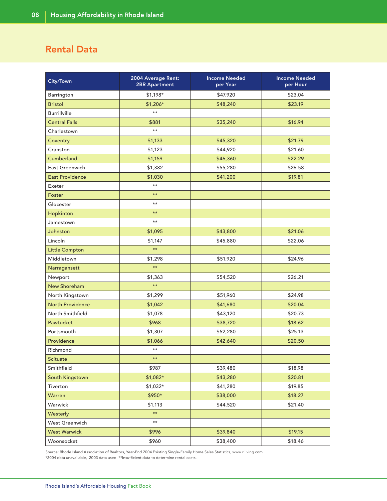### Rental Data

| City/Town               | 2004 Average Rent:<br><b>2BR Apartment</b> | <b>Income Needed</b><br>per Year | <b>Income Needed</b><br>per Hour |
|-------------------------|--------------------------------------------|----------------------------------|----------------------------------|
| Barrington              | $$1,198*$                                  | \$47,920                         | \$23.04                          |
| <b>Bristol</b>          | $$1,206*$                                  | \$48,240                         | \$23.19                          |
| <b>Burrillville</b>     | $***$                                      |                                  |                                  |
| <b>Central Falls</b>    | \$881                                      | \$35,240                         | \$16.94                          |
| Charlestown             | $\star\star$                               |                                  |                                  |
| Coventry                | \$1,133                                    | \$45,320                         | \$21.79                          |
| Cranston                | \$1,123                                    | \$44,920                         | \$21.60                          |
| Cumberland              | \$1,159                                    | \$46,360                         | \$22.29                          |
| East Greenwich          | \$1,382                                    | \$55,280                         | \$26.58                          |
| <b>East Providence</b>  | \$1,030                                    | \$41,200                         | \$19.81                          |
| Exeter                  | $***$                                      |                                  |                                  |
| Foster                  | $***$                                      |                                  |                                  |
| Glocester               | $***$                                      |                                  |                                  |
| Hopkinton               | $***$                                      |                                  |                                  |
| Jamestown               | $***$                                      |                                  |                                  |
| Johnston                | \$1,095                                    | \$43,800                         | \$21.06                          |
| Lincoln                 | \$1,147                                    | \$45,880                         | \$22.06                          |
| Little Compton          | $\star\star$                               |                                  |                                  |
| Middletown              | \$1,298                                    | \$51,920                         | \$24.96                          |
| Narragansett            | $\star\star$                               |                                  |                                  |
| Newport                 | \$1,363                                    | \$54,520                         | \$26.21                          |
| <b>New Shoreham</b>     | $\star\star$                               |                                  |                                  |
| North Kingstown         | \$1,299                                    | \$51,960                         | \$24.98                          |
| <b>North Providence</b> | \$1,042                                    | \$41,680                         | \$20.04                          |
| North Smithfield        | \$1,078                                    | \$43,120                         | \$20.73                          |
| Pawtucket               | \$968                                      | \$38,720                         | \$18.62                          |
| Portsmouth              | \$1,307                                    | \$52,280                         | \$25.13                          |
| Providence              | \$1,066                                    | \$42,640                         | \$20.50                          |
| Richmond                | $***$                                      |                                  |                                  |
| <b>Scituate</b>         | $***$                                      |                                  |                                  |
| Smithfield              | \$987                                      | \$39,480                         | \$18.98                          |
| South Kingstown         | $$1,082*$                                  | \$43,280                         | \$20.81                          |
| Tiverton                | \$1,032*                                   | \$41,280                         | \$19.85                          |
| Warren                  | \$950*                                     | \$38,000                         | \$18.27                          |
| Warwick                 | \$1,113                                    | \$44,520                         | \$21.40                          |
| Westerly                | $\star\star$                               |                                  |                                  |
| West Greenwich          | $^{\star\star}$                            |                                  |                                  |
| <b>West Warwick</b>     | \$996                                      | \$39,840                         | \$19.15                          |
| Woonsocket              | \$960                                      | \$38,400                         | \$18.46                          |

Source: Rhode Island Association of Realtors, Year-End 2004 Existing Single-Family Home Sales Statistics, www.riliving.com \*2004 data unavailable, 2003 data used. \*\*Insufficient data to determine rental costs.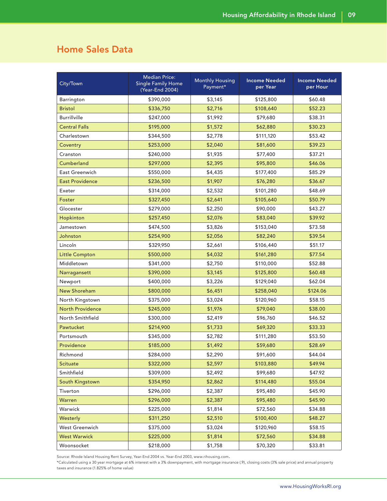### Home Sales Data

| City/Town               | Median Price:<br><b>Single Family Home</b><br>(Year-End 2004) | <b>Monthly Housing</b><br>Payment* | <b>Income Needed</b><br>per Year | <b>Income Needed</b><br>per Hour |
|-------------------------|---------------------------------------------------------------|------------------------------------|----------------------------------|----------------------------------|
| Barrington              | \$390,000                                                     | \$3,145                            | \$125,800                        | \$60.48                          |
| <b>Bristol</b>          | \$336,750                                                     | \$2,716                            | \$108,640                        | \$52.23                          |
| <b>Burrillville</b>     | \$247,000                                                     | \$1,992                            | \$79,680                         | \$38.31                          |
| <b>Central Falls</b>    | \$195,000                                                     | \$1,572                            | \$62,880                         | \$30.23                          |
| Charlestown             | \$344,500                                                     | \$2,778                            | \$111,120                        | \$53.42                          |
| Coventry                | \$253,000                                                     | \$2,040                            | \$81,600                         | \$39.23                          |
| Cranston                | \$240,000                                                     | \$1,935                            | \$77,400                         | \$37.21                          |
| Cumberland              | \$297,000                                                     | \$2,395                            | \$95,800                         | \$46.06                          |
| East Greenwich          | \$550,000                                                     | \$4,435                            | \$177,400                        | \$85.29                          |
| <b>East Providence</b>  | \$236,500                                                     | \$1,907                            | \$76,280                         | \$36.67                          |
| Exeter                  | \$314,000                                                     | \$2,532                            | \$101,280                        | \$48.69                          |
| Foster                  | \$327,450                                                     | \$2,641                            | \$105,640                        | \$50.79                          |
| Glocester               | \$279,000                                                     | \$2,250                            | \$90,000                         | \$43.27                          |
| Hopkinton               | \$257,450                                                     | \$2,076                            | \$83,040                         | \$39.92                          |
| Jamestown               | \$474,500                                                     | \$3,826                            | \$153,040                        | \$73.58                          |
| Johnston                | \$254,900                                                     | \$2,056                            | \$82,240                         | \$39.54                          |
| Lincoln                 | \$329,950                                                     | \$2,661                            | \$106,440                        | \$51.17                          |
| Little Compton          | \$500,000                                                     | \$4,032                            | \$161,280                        | \$77.54                          |
| Middletown              | \$341,000                                                     | \$2,750                            | \$110,000                        | \$52.88                          |
| Narragansett            | \$390,000                                                     | \$3,145                            | \$125,800                        | \$60.48                          |
| Newport                 | \$400,000                                                     | \$3,226                            | \$129,040                        | \$62.04                          |
| <b>New Shoreham</b>     | \$800,000                                                     | \$6,451                            | \$258,040                        | \$124.06                         |
| North Kingstown         | \$375,000                                                     | \$3,024                            | \$120,960                        | \$58.15                          |
| <b>North Providence</b> | \$245,000                                                     | \$1,976                            | \$79,040                         | \$38.00                          |
| North Smithfield        | \$300,000                                                     | \$2,419                            | \$96,760                         | \$46.52                          |
| Pawtucket               | \$214,900                                                     | \$1,733                            | \$69,320                         | \$33.33                          |
| Portsmouth              | \$345,000                                                     | \$2,782                            | \$111,280                        | \$53.50                          |
| Providence              | \$185,000                                                     | \$1,492                            | \$59,680                         | \$28.69                          |
| Richmond                | \$284,000                                                     | \$2,290                            | \$91,600                         | \$44.04                          |
| <b>Scituate</b>         | \$322,000                                                     | \$2,597                            | \$103,880                        | \$49.94                          |
| Smithfield              | \$309,000                                                     | \$2,492                            | \$99,680                         | \$47.92                          |
| South Kingstown         | \$354,950                                                     | \$2,862                            | \$114,480                        | \$55.04                          |
| Tiverton                | \$296,000                                                     | \$2,387                            | \$95,480                         | \$45.90                          |
| Warren                  | \$296,000                                                     | \$2,387                            | \$95,480                         | \$45.90                          |
| Warwick                 | \$225,000                                                     | \$1,814                            | \$72,560                         | \$34.88                          |
| Westerly                | \$311,250                                                     | \$2,510                            | \$100,400                        | \$48.27                          |
| West Greenwich          | \$375,000                                                     | \$3,024                            | \$120,960                        | \$58.15                          |
| <b>West Warwick</b>     | \$225,000                                                     | \$1,814                            | \$72,560                         | \$34.88                          |
| Woonsocket              | \$218,000                                                     | \$1,758                            | \$70,320                         | \$33.81                          |

Source: Rhode Island Housing Rent Survey, Year-End 2004 vs. Year-End 2003, www.rihousing.com.

\*Calculated using a 30 year mortgage at 6% interest with a 3% downpayment, with mortgage insurance (.9), closing costs (3% sale price) and annual property taxes and insurance (1.825% of home value)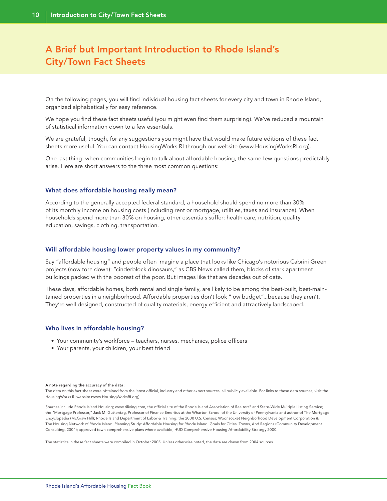### A Brief but Important Introduction to Rhode Island's City/Town Fact Sheets

On the following pages, you will find individual housing fact sheets for every city and town in Rhode Island, organized alphabetically for easy reference.

We hope you find these fact sheets useful (you might even find them surprising). We've reduced a mountain of statistical information down to a few essentials.

We are grateful, though, for any suggestions you might have that would make future editions of these fact sheets more useful. You can contact HousingWorks RI through our website (www.HousingWorksRI.org).

One last thing: when communities begin to talk about affordable housing, the same few questions predictably arise. Here are short answers to the three most common questions:

#### What does affordable housing really mean?

According to the generally accepted federal standard, a household should spend no more than 30% of its monthly income on housing costs (including rent or mortgage, utilities, taxes and insurance). When households spend more than 30% on housing, other essentials suffer: health care, nutrition, quality education, savings, clothing, transportation.

#### Will affordable housing lower property values in my community?

Say "affordable housing" and people often imagine a place that looks like Chicago's notorious Cabrini Green projects (now torn down): "cinderblock dinosaurs," as CBS News called them, blocks of stark apartment buildings packed with the poorest of the poor. But images like that are decades out of date.

These days, affordable homes, both rental and single family, are likely to be among the best-built, best-maintained properties in a neighborhood. Affordable properties don't look "low budget"...because they aren't. They're well designed, constructed of quality materials, energy efficient and attractively landscaped.

#### Who lives in affordable housing?

- Your community's workforce teachers, nurses, mechanics, police officers
- Your parents, your children, your best friend

#### A note regarding the accuracy of the data:

The data on this fact sheet were obtained from the latest official, industry and other expert sources, all publicly available. For links to these data sources, visit the HousingWorks RI website (www.HousingWorksRI.org).

Sources include Rhode Island Housing; www.riliving.com, the official site of the Rhode Island Association of Realtors® and State-Wide Multiple Listing Service; the "Mortgage Professor," Jack M. Guttentag, Professor of Finance Emeritus at the Wharton School of the University of Pennsylvania and author of The Mortgage Encyclopedia (McGraw Hill); Rhode Island Department of Labor & Training; the 2000 U.S. Census; Woonsocket Neighborhood Development Corporation & The Housing Network of Rhode Island. Planning Study: Affordable Housing for Rhode Island: Goals for Cities, Towns, And Regions (Community Development Consulting, 2004); approved town comprehensive plans where available; HUD Comprehensive Housing Affordability Strategy 2000.

The statistics in these fact sheets were compiled in October 2005. Unless otherwise noted, the data are drawn from 2004 sources.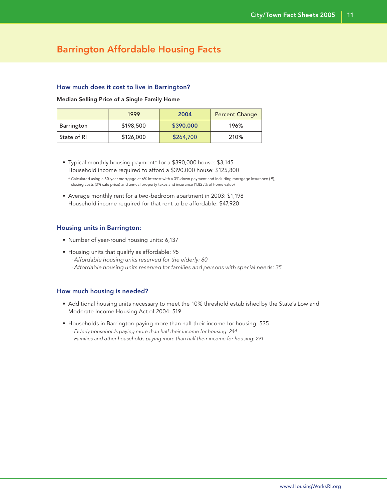### Barrington Affordable Housing Facts

### How much does it cost to live in Barrington?

Median Selling Price of a Single Family Home

|             | 1999      | 2004      | <b>Percent Change</b> |
|-------------|-----------|-----------|-----------------------|
| Barrington  | \$198,500 | \$390,000 | 196%                  |
| State of RI | \$126,000 | \$264,700 | 210%                  |

 • Typical monthly housing payment\* for a \$390,000 house: \$3,145 Household income required to afford a \$390,000 house: \$125,800

 \* Calculated using a 30-year mortgage at 6% interest with a 3% down payment and including mortgage insurance (.9), closing costs (3% sale price) and annual property taxes and insurance (1.825% of home value)

 • Average monthly rent for a two-bedroom apartment in 2003: \$1,198 Household income required for that rent to be affordable: \$47,920

### Housing units in Barrington:

- Number of year-round housing units: 6,137
- Housing units that qualify as affordable: 95 · Affordable housing units reserved for the elderly: 60 · Affordable housing units reserved for families and persons with special needs: 35

- Additional housing units necessary to meet the 10% threshold established by the State's Low and Moderate Income Housing Act of 2004: 519
- Households in Barrington paying more than half their income for housing: 535
	- · Elderly households paying more than half their income for housing: 244
	- · Families and other households paying more than half their income for housing: 291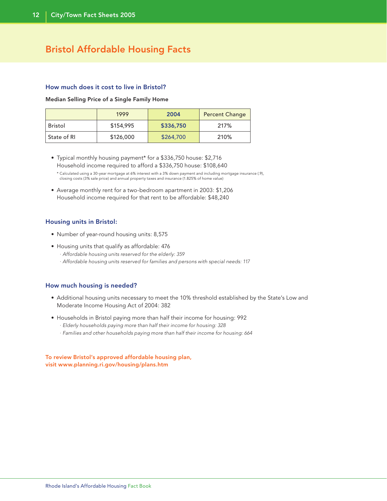### Bristol Affordable Housing Facts

### How much does it cost to live in Bristol?

Median Selling Price of a Single Family Home

|             | 1999      | 2004      | <b>Percent Change</b> |
|-------------|-----------|-----------|-----------------------|
| Bristol     | \$154,995 | \$336,750 | 217%                  |
| State of RI | \$126,000 | \$264,700 | 210%                  |

• Typical monthly housing payment\* for a \$336,750 house: \$2,716 Household income required to afford a \$336,750 house: \$108,640

 \* Calculated using a 30-year mortgage at 6% interest with a 3% down payment and including mortgage insurance (.9), closing costs (3% sale price) and annual property taxes and insurance (1.825% of home value)

• Average monthly rent for a two-bedroom apartment in 2003: \$1,206 Household income required for that rent to be affordable: \$48,240

### Housing units in Bristol:

- Number of year-round housing units: 8,575
- Housing units that qualify as affordable: 476
	- · Affordable housing units reserved for the elderly: 359
	- · Affordable housing units reserved for families and persons with special needs: 117

### How much housing is needed?

- Additional housing units necessary to meet the 10% threshold established by the State's Low and Moderate Income Housing Act of 2004: 382
- Households in Bristol paying more than half their income for housing: 992
	- · Elderly households paying more than half their income for housing: 328
	- · Families and other households paying more than half their income for housing: 664

To review Bristol's approved affordable housing plan, visit www.planning.ri.gov/housing/plans.htm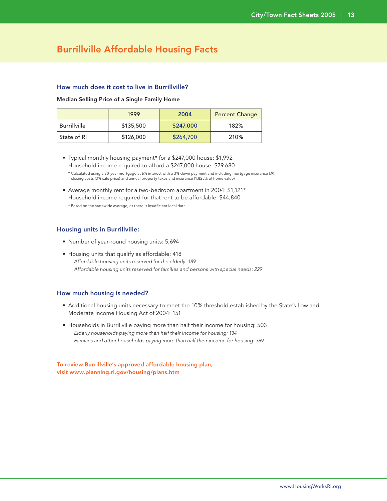### Burrillville Affordable Housing Facts

### How much does it cost to live in Burrillville?

Median Selling Price of a Single Family Home

|                     | 1999      | 2004      | <b>Percent Change</b> |
|---------------------|-----------|-----------|-----------------------|
| <b>Burrillville</b> | \$135,500 | \$247,000 | 182%                  |
| State of RI         | \$126,000 | \$264,700 | 210%                  |

 • Typical monthly housing payment\* for a \$247,000 house: \$1,992 Household income required to afford a \$247,000 house: \$79,680

 • Average monthly rent for a two-bedroom apartment in 2004: \$1,121\* Household income required for that rent to be affordable: \$44,840 \* Based on the statewide average, as there is insufficient local data

### Housing units in Burrillville:

- Number of year-round housing units: 5,694
- Housing units that qualify as affordable: 418
	- · Affordable housing units reserved for the elderly: 189
	- · Affordable housing units reserved for families and persons with special needs: 229

### How much housing is needed?

- Additional housing units necessary to meet the 10% threshold established by the State's Low and Moderate Income Housing Act of 2004: 151
- Households in Burrillville paying more than half their income for housing: 503
	- · Elderly households paying more than half their income for housing: 134
	- · Families and other households paying more than half their income for housing: 369

To review Burrillville's approved affordable housing plan, visit www.planning.ri.gov/housing/plans.htm

 <sup>\*</sup> Calculated using a 30-year mortgage at 6% interest with a 3% down payment and including mortgage insurance (.9), closing costs (3% sale price) and annual property taxes and insurance (1.825% of home value)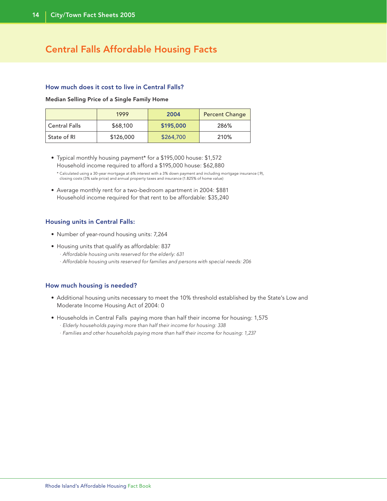### Central Falls Affordable Housing Facts

### How much does it cost to live in Central Falls?

Median Selling Price of a Single Family Home

|                      | 1999      | 2004      | <b>Percent Change</b> |
|----------------------|-----------|-----------|-----------------------|
| <b>Central Falls</b> | \$68,100  | \$195,000 | 286%                  |
| State of RI          | \$126,000 | \$264,700 | 210%                  |

 • Typical monthly housing payment\* for a \$195,000 house: \$1,572 Household income required to afford a \$195,000 house: \$62,880

 \* Calculated using a 30-year mortgage at 6% interest with a 3% down payment and including mortgage insurance (.9), closing costs (3% sale price) and annual property taxes and insurance (1.825% of home value)

 • Average monthly rent for a two-bedroom apartment in 2004: \$881 Household income required for that rent to be affordable: \$35,240

### Housing units in Central Falls:

- Number of year-round housing units: 7,264
- Housing units that qualify as affordable: 837
	- · Affordable housing units reserved for the elderly: 631
	- · Affordable housing units reserved for families and persons with special needs: 206

- Additional housing units necessary to meet the 10% threshold established by the State's Low and Moderate Income Housing Act of 2004: 0
- Households in Central Falls paying more than half their income for housing: 1,575
	- · Elderly households paying more than half their income for housing: 338
	- · Families and other households paying more than half their income for housing: 1,237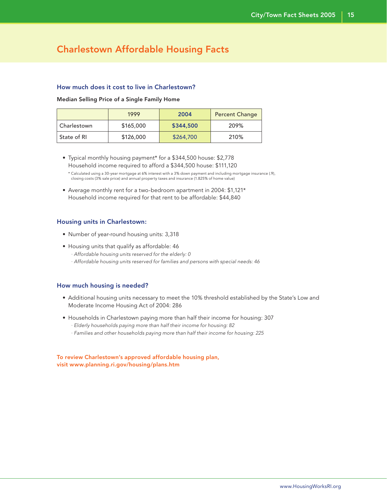### Charlestown Affordable Housing Facts

### How much does it cost to live in Charlestown?

#### Median Selling Price of a Single Family Home

|             | 1999      | 2004      | <b>Percent Change</b> |
|-------------|-----------|-----------|-----------------------|
| Charlestown | \$165,000 | \$344,500 | 209%                  |
| State of RI | \$126,000 | \$264,700 | 210%                  |

 • Typical monthly housing payment\* for a \$344,500 house: \$2,778 Household income required to afford a \$344,500 house: \$111,120

 • Average monthly rent for a two-bedroom apartment in 2004: \$1,121\* Household income required for that rent to be affordable: \$44,840

### Housing units in Charlestown:

- Number of year-round housing units: 3,318
- Housing units that qualify as affordable: 46 · Affordable housing units reserved for the elderly: 0 · Affordable housing units reserved for families and persons with special needs: 46

### How much housing is needed?

- Additional housing units necessary to meet the 10% threshold established by the State's Low and Moderate Income Housing Act of 2004: 286
- Households in Charlestown paying more than half their income for housing: 307
	- · Elderly households paying more than half their income for housing: 82
	- · Families and other households paying more than half their income for housing: 225

To review Charlestown's approved affordable housing plan, visit www.planning.ri.gov/housing/plans.htm

 <sup>\*</sup> Calculated using a 30-year mortgage at 6% interest with a 3% down payment and including mortgage insurance (.9), closing costs (3% sale price) and annual property taxes and insurance (1.825% of home value)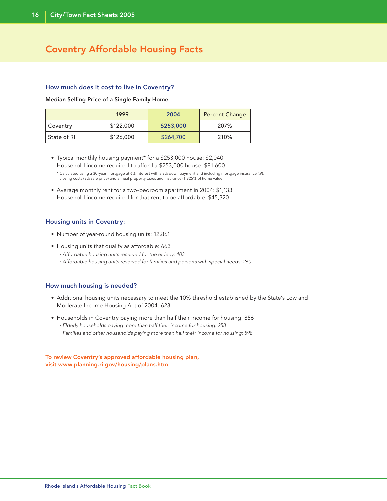### Coventry Affordable Housing Facts

### How much does it cost to live in Coventry?

Median Selling Price of a Single Family Home

|             | 1999      | 2004      | <b>Percent Change</b> |
|-------------|-----------|-----------|-----------------------|
| Coventry    | \$122,000 | \$253,000 | 207%                  |
| State of RI | \$126,000 | \$264,700 | 210%                  |

 • Typical monthly housing payment\* for a \$253,000 house: \$2,040 Household income required to afford a \$253,000 house: \$81,600

 \* Calculated using a 30-year mortgage at 6% interest with a 3% down payment and including mortgage insurance (.9), closing costs (3% sale price) and annual property taxes and insurance (1.825% of home value)

 • Average monthly rent for a two-bedroom apartment in 2004: \$1,133 Household income required for that rent to be affordable: \$45,320

### Housing units in Coventry:

- Number of year-round housing units: 12,861
- Housing units that qualify as affordable: 663
	- · Affordable housing units reserved for the elderly: 403
	- · Affordable housing units reserved for families and persons with special needs: 260

### How much housing is needed?

- Additional housing units necessary to meet the 10% threshold established by the State's Low and Moderate Income Housing Act of 2004: 623
- Households in Coventry paying more than half their income for housing: 856
	- · Elderly households paying more than half their income for housing: 258
	- · Families and other households paying more than half their income for housing: 598

To review Coventry's approved affordable housing plan, visit www.planning.ri.gov/housing/plans.htm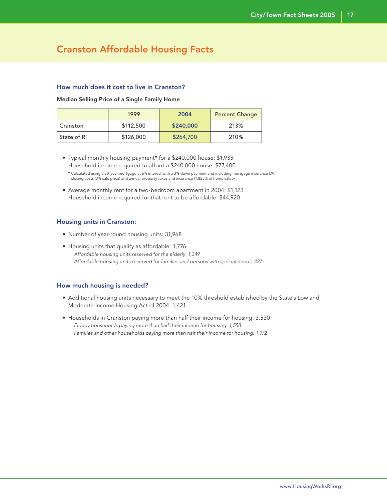### Cranston Affordable Housing Facts

### How much does it cost to live in Cranston?

#### Median Selling Price of a Single Family Home

|             | 1999      | 2004      | <b>Percent Change</b> |
|-------------|-----------|-----------|-----------------------|
| Cranston    | \$112,500 | \$240,000 | 213%                  |
| State of RI | \$126,000 | \$264,700 | 210%                  |

 • Typical monthly housing payment\* for a \$240,000 house: \$1,935 Household income required to afford a \$240,000 house: \$77,400

 • Average monthly rent for a two-bedroom apartment in 2004: \$1,123 Household income required for that rent to be affordable: \$44,920

### Housing units in Cranston:

- Number of year-round housing units: 31,968
- Housing units that qualify as affordable: 1,776 · Affordable housing units reserved for the elderly: 1,349 · Affordable housing units reserved for families and persons with special needs: 427

- Additional housing units necessary to meet the 10% threshold established by the State's Low and Moderate Income Housing Act of 2004: 1,421
- Households in Cranston paying more than half their income for housing: 3,530
	- · Elderly households paying more than half their income for housing: 1,558
	- · Families and other households paying more than half their income for housing: 1,972

 <sup>\*</sup> Calculated using a 30-year mortgage at 6% interest with a 3% down payment and including mortgage insurance (.9), closing costs (3% sale price) and annual property taxes and insurance (1.825% of home value)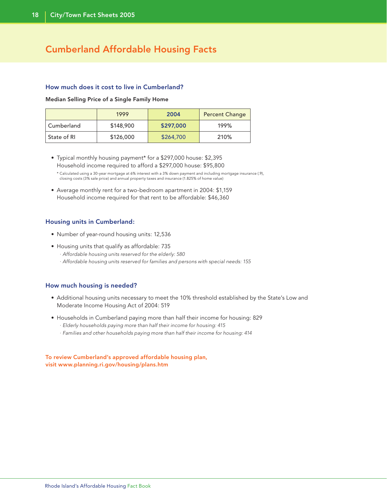### Cumberland Affordable Housing Facts

### How much does it cost to live in Cumberland?

#### Median Selling Price of a Single Family Home

|             | 1999      | 2004      | <b>Percent Change</b> |
|-------------|-----------|-----------|-----------------------|
| Cumberland  | \$148,900 | \$297,000 | 199%                  |
| State of RI | \$126,000 | \$264,700 | 210%                  |

 • Typical monthly housing payment\* for a \$297,000 house: \$2,395 Household income required to afford a \$297,000 house: \$95,800

 \* Calculated using a 30-year mortgage at 6% interest with a 3% down payment and including mortgage insurance (.9), closing costs (3% sale price) and annual property taxes and insurance (1.825% of home value)

 • Average monthly rent for a two-bedroom apartment in 2004: \$1,159 Household income required for that rent to be affordable: \$46,360

### Housing units in Cumberland:

- Number of year-round housing units: 12,536
- Housing units that qualify as affordable: 735
	- · Affordable housing units reserved for the elderly: 580
	- · Affordable housing units reserved for families and persons with special needs: 155

### How much housing is needed?

- Additional housing units necessary to meet the 10% threshold established by the State's Low and Moderate Income Housing Act of 2004: 519
- Households in Cumberland paying more than half their income for housing: 829
	- · Elderly households paying more than half their income for housing: 415
	- · Families and other households paying more than half their income for housing: 414

To review Cumberland's approved affordable housing plan, visit www.planning.ri.gov/housing/plans.htm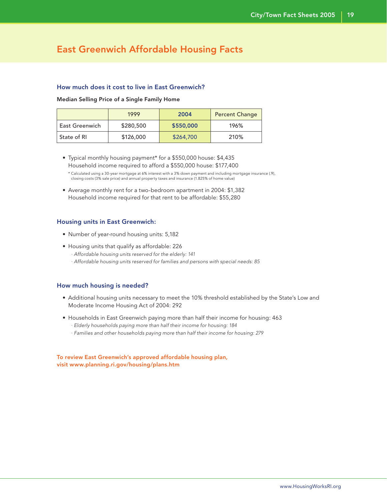### East Greenwich Affordable Housing Facts

### How much does it cost to live in East Greenwich?

#### Median Selling Price of a Single Family Home

|                | 1999      | 2004      | <b>Percent Change</b> |
|----------------|-----------|-----------|-----------------------|
| East Greenwich | \$280,500 | \$550,000 | 196%                  |
| State of RI    | \$126,000 | \$264,700 | 210%                  |

 • Typical monthly housing payment\* for a \$550,000 house: \$4,435 Household income required to afford a \$550,000 house: \$177,400

 • Average monthly rent for a two-bedroom apartment in 2004: \$1,382 Household income required for that rent to be affordable: \$55,280

### Housing units in East Greenwich:

- Number of year-round housing units: 5,182
- Housing units that qualify as affordable: 226 · Affordable housing units reserved for the elderly: 141 · Affordable housing units reserved for families and persons with special needs: 85

### How much housing is needed?

- Additional housing units necessary to meet the 10% threshold established by the State's Low and Moderate Income Housing Act of 2004: 292
- Households in East Greenwich paying more than half their income for housing: 463
	- · Elderly households paying more than half their income for housing: 184
	- · Families and other households paying more than half their income for housing: 279

To review East Greenwich's approved affordable housing plan, visit www.planning.ri.gov/housing/plans.htm

 <sup>\*</sup> Calculated using a 30-year mortgage at 6% interest with a 3% down payment and including mortgage insurance (.9), closing costs (3% sale price) and annual property taxes and insurance (1.825% of home value)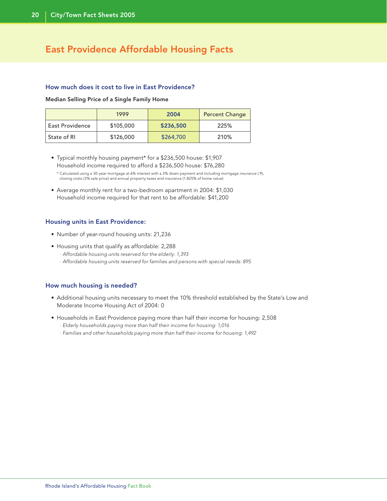### East Providence Affordable Housing Facts

### How much does it cost to live in East Providence?

Median Selling Price of a Single Family Home

|                 | 1999      | 2004      | <b>Percent Change</b> |
|-----------------|-----------|-----------|-----------------------|
| East Providence | \$105,000 | \$236,500 | 225%                  |
| State of RI     | \$126,000 | \$264,700 | 210%                  |

 • Typical monthly housing payment\* for a \$236,500 house: \$1,907 Household income required to afford a \$236,500 house: \$76,280

 \* Calculated using a 30-year mortgage at 6% interest with a 3% down payment and including mortgage insurance (.9), closing costs (3% sale price) and annual property taxes and insurance (1.825% of home value)

 • Average monthly rent for a two-bedroom apartment in 2004: \$1,030 Household income required for that rent to be affordable: \$41,200

### Housing units in East Providence:

- Number of year-round housing units: 21,236
- Housing units that qualify as affordable: 2,288
	- · Affordable housing units reserved for the elderly: 1,393
	- · Affordable housing units reserved for families and persons with special needs: 895

- Additional housing units necessary to meet the 10% threshold established by the State's Low and Moderate Income Housing Act of 2004: 0
- Households in East Providence paying more than half their income for housing: 2,508
	- · Elderly households paying more than half their income for housing: 1,016
	- · Families and other households paying more than half their income for housing: 1,492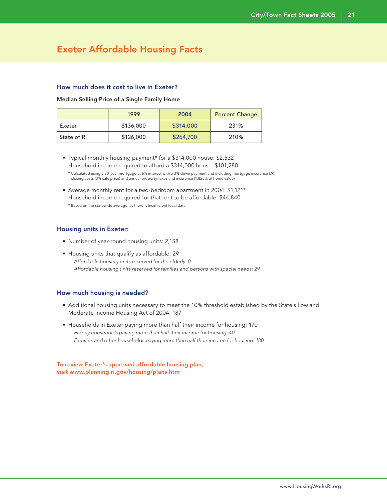### Exeter Affordable Housing Facts

### How much does it cost to live in Exeter?

#### Median Selling Price of a Single Family Home

|             | 1999      | 2004      | <b>Percent Change</b> |
|-------------|-----------|-----------|-----------------------|
| Exeter      | \$136,000 | \$314,000 | 231%                  |
| State of RI | \$126,000 | \$264,700 | 210%                  |

 • Typical monthly housing payment\* for a \$314,000 house: \$2,532 Household income required to afford a \$314,000 house: \$101,280

 • Average monthly rent for a two-bedroom apartment in 2004: \$1,121\* Household income required for that rent to be affordable: \$44,840 \* Based on the statewide average, as there is insufficient local data

### Housing units in Exeter:

- Number of year-round housing units: 2,158
- Housing units that qualify as affordable: 29
	- · Affordable housing units reserved for the elderly: 0
	- · Affordable housing units reserved for families and persons with special needs: 29

#### How much housing is needed?

- Additional housing units necessary to meet the 10% threshold established by the State's Low and Moderate Income Housing Act of 2004: 187
- Households in Exeter paying more than half their income for housing: 170
	- · Elderly households paying more than half their income for housing: 40
	- · Families and other households paying more than half their income for housing: 130

To review Exeter's approved affordable housing plan, visit www.planning.ri.gov/housing/plans.htm

 <sup>\*</sup> Calculated using a 30-year mortgage at 6% interest with a 3% down payment and including mortgage insurance (.9), closing costs (3% sale price) and annual property taxes and insurance (1.825% of home value)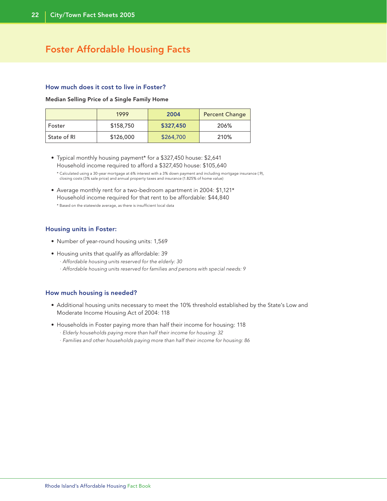### Foster Affordable Housing Facts

### How much does it cost to live in Foster?

Median Selling Price of a Single Family Home

|             | 1999      | 2004      | <b>Percent Change</b> |
|-------------|-----------|-----------|-----------------------|
| Foster      | \$158,750 | \$327,450 | 206%                  |
| State of RI | \$126,000 | \$264,700 | 210%                  |

- Typical monthly housing payment\* for a \$327,450 house: \$2,641 Household income required to afford a \$327,450 house: \$105,640
	- \* Calculated using a 30-year mortgage at 6% interest with a 3% down payment and including mortgage insurance (.9), closing costs (3% sale price) and annual property taxes and insurance (1.825% of home value)
- Average monthly rent for a two-bedroom apartment in 2004: \$1,121\* Household income required for that rent to be affordable: \$44,840 \* Based on the statewide average, as there is insufficient local data

### Housing units in Foster:

- Number of year-round housing units: 1,569
- Housing units that qualify as affordable: 39
	- · Affordable housing units reserved for the elderly: 30
	- · Affordable housing units reserved for families and persons with special needs: 9

- Additional housing units necessary to meet the 10% threshold established by the State's Low and Moderate Income Housing Act of 2004: 118
- Households in Foster paying more than half their income for housing: 118
	- · Elderly households paying more than half their income for housing: 32
	- · Families and other households paying more than half their income for housing: 86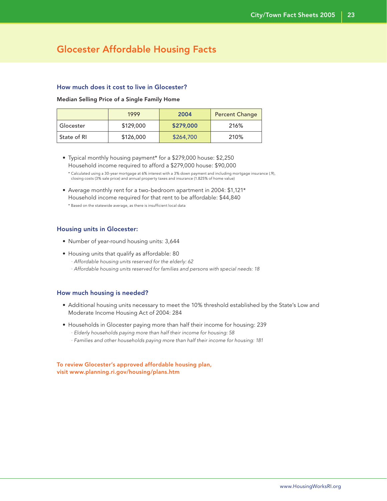### Glocester Affordable Housing Facts

### How much does it cost to live in Glocester?

#### Median Selling Price of a Single Family Home

|             | 1999      | 2004      | <b>Percent Change</b> |
|-------------|-----------|-----------|-----------------------|
| . Glocester | \$129,000 | \$279,000 | 216%                  |
| State of RI | \$126,000 | \$264,700 | 210%                  |

 • Typical monthly housing payment\* for a \$279,000 house: \$2,250 Household income required to afford a \$279,000 house: \$90,000

 • Average monthly rent for a two-bedroom apartment in 2004: \$1,121\* Household income required for that rent to be affordable: \$44,840 \* Based on the statewide average, as there is insufficient local data

### Housing units in Glocester:

- Number of year-round housing units: 3,644
- Housing units that qualify as affordable: 80
	- · Affordable housing units reserved for the elderly: 62
	- · Affordable housing units reserved for families and persons with special needs: 18

### How much housing is needed?

- Additional housing units necessary to meet the 10% threshold established by the State's Low and Moderate Income Housing Act of 2004: 284
- Households in Glocester paying more than half their income for housing: 239
	- · Elderly households paying more than half their income for housing: 58
	- · Families and other households paying more than half their income for housing: 181

To review Glocester's approved affordable housing plan, visit www.planning.ri.gov/housing/plans.htm

 <sup>\*</sup> Calculated using a 30-year mortgage at 6% interest with a 3% down payment and including mortgage insurance (.9), closing costs (3% sale price) and annual property taxes and insurance (1.825% of home value)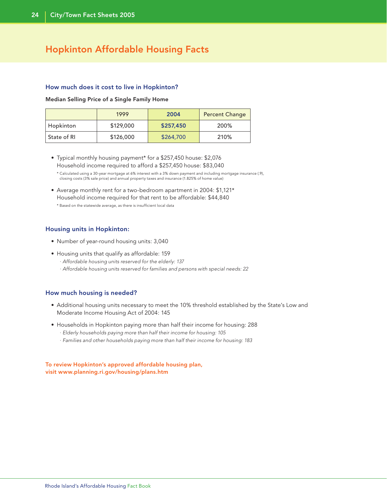### Hopkinton Affordable Housing Facts

#### How much does it cost to live in Hopkinton?

#### Median Selling Price of a Single Family Home

|             | 1999      | 2004      | <b>Percent Change</b> |
|-------------|-----------|-----------|-----------------------|
| Hopkinton   | \$129,000 | \$257,450 | 200%                  |
| State of RI | \$126,000 | \$264,700 | 210%                  |

- Typical monthly housing payment\* for a \$257,450 house: \$2,076 Household income required to afford a \$257,450 house: \$83,040
	- \* Calculated using a 30-year mortgage at 6% interest with a 3% down payment and including mortgage insurance (.9), closing costs (3% sale price) and annual property taxes and insurance (1.825% of home value)
- Average monthly rent for a two-bedroom apartment in 2004: \$1,121\* Household income required for that rent to be affordable: \$44,840 \* Based on the statewide average, as there is insufficient local data

### Housing units in Hopkinton:

- Number of year-round housing units: 3,040
- Housing units that qualify as affordable: 159
	- · Affordable housing units reserved for the elderly: 137
	- · Affordable housing units reserved for families and persons with special needs: 22

### How much housing is needed?

- Additional housing units necessary to meet the 10% threshold established by the State's Low and Moderate Income Housing Act of 2004: 145
- Households in Hopkinton paying more than half their income for housing: 288 · Elderly households paying more than half their income for housing: 105
	- · Families and other households paying more than half their income for housing: 183

To review Hopkinton's approved affordable housing plan, visit www.planning.ri.gov/housing/plans.htm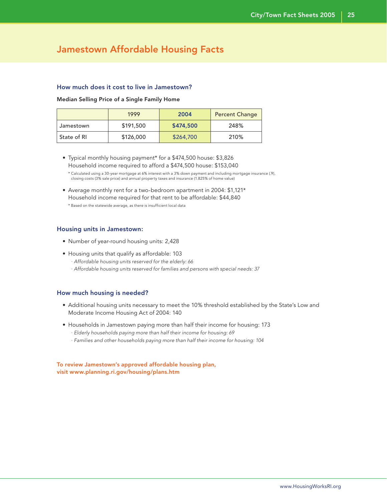### Jamestown Affordable Housing Facts

### How much does it cost to live in Jamestown?

#### Median Selling Price of a Single Family Home

|             | 1999      | 2004      | <b>Percent Change</b> |
|-------------|-----------|-----------|-----------------------|
| Jamestown   | \$191,500 | \$474,500 | 248%                  |
| State of RI | \$126,000 | \$264,700 | 210%                  |

 • Typical monthly housing payment\* for a \$474,500 house: \$3,826 Household income required to afford a \$474,500 house: \$153,040

 • Average monthly rent for a two-bedroom apartment in 2004: \$1,121\* Household income required for that rent to be affordable: \$44,840 \* Based on the statewide average, as there is insufficient local data

### Housing units in Jamestown:

- Number of year-round housing units: 2,428
- Housing units that qualify as affordable: 103
	- · Affordable housing units reserved for the elderly: 66
	- · Affordable housing units reserved for families and persons with special needs: 37

### How much housing is needed?

- Additional housing units necessary to meet the 10% threshold established by the State's Low and Moderate Income Housing Act of 2004: 140
- Households in Jamestown paying more than half their income for housing: 173
	- · Elderly households paying more than half their income for housing: 69
	- · Families and other households paying more than half their income for housing: 104

To review Jamestown's approved affordable housing plan, visit www.planning.ri.gov/housing/plans.htm

 <sup>\*</sup> Calculated using a 30-year mortgage at 6% interest with a 3% down payment and including mortgage insurance (.9), closing costs (3% sale price) and annual property taxes and insurance (1.825% of home value)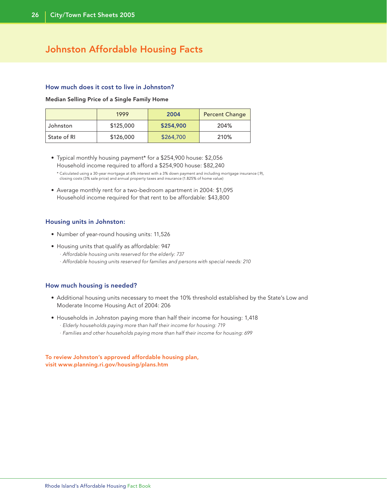## Johnston Affordable Housing Facts

### How much does it cost to live in Johnston?

#### Median Selling Price of a Single Family Home

|             | 1999      | 2004      | <b>Percent Change</b> |
|-------------|-----------|-----------|-----------------------|
| Johnston    | \$125,000 | \$254,900 | 204%                  |
| State of RI | \$126,000 | \$264,700 | 210%                  |

 • Typical monthly housing payment\* for a \$254,900 house: \$2,056 Household income required to afford a \$254,900 house: \$82,240

 \* Calculated using a 30-year mortgage at 6% interest with a 3% down payment and including mortgage insurance (.9), closing costs (3% sale price) and annual property taxes and insurance (1.825% of home value)

 • Average monthly rent for a two-bedroom apartment in 2004: \$1,095 Household income required for that rent to be affordable: \$43,800

### Housing units in Johnston:

- Number of year-round housing units: 11,526
- Housing units that qualify as affordable: 947
	- · Affordable housing units reserved for the elderly: 737
	- · Affordable housing units reserved for families and persons with special needs: 210

### How much housing is needed?

- Additional housing units necessary to meet the 10% threshold established by the State's Low and Moderate Income Housing Act of 2004: 206
- Households in Johnston paying more than half their income for housing: 1,418
	- · Elderly households paying more than half their income for housing: 719
	- · Families and other households paying more than half their income for housing: 699

To review Johnston's approved affordable housing plan, visit www.planning.ri.gov/housing/plans.htm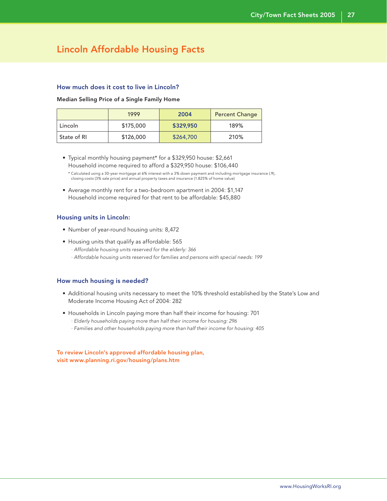### Lincoln Affordable Housing Facts

### How much does it cost to live in Lincoln?

#### Median Selling Price of a Single Family Home

|             | 1999      | 2004      | <b>Percent Change</b> |
|-------------|-----------|-----------|-----------------------|
| Lincoln     | \$175,000 | \$329,950 | 189%                  |
| State of RI | \$126,000 | \$264,700 | 210%                  |

 • Typical monthly housing payment\* for a \$329,950 house: \$2,661 Household income required to afford a \$329,950 house: \$106,440

 • Average monthly rent for a two-bedroom apartment in 2004: \$1,147 Household income required for that rent to be affordable: \$45,880

### Housing units in Lincoln:

- Number of year-round housing units: 8,472
- Housing units that qualify as affordable: 565
	- · Affordable housing units reserved for the elderly: 366
	- · Affordable housing units reserved for families and persons with special needs: 199

### How much housing is needed?

- Additional housing units necessary to meet the 10% threshold established by the State's Low and Moderate Income Housing Act of 2004: 282
- Households in Lincoln paying more than half their income for housing: 701
	- · Elderly households paying more than half their income for housing: 296
	- · Families and other households paying more than half their income for housing: 405

To review Lincoln's approved affordable housing plan, visit www.planning.ri.gov/housing/plans.htm

 <sup>\*</sup> Calculated using a 30-year mortgage at 6% interest with a 3% down payment and including mortgage insurance (.9), closing costs (3% sale price) and annual property taxes and insurance (1.825% of home value)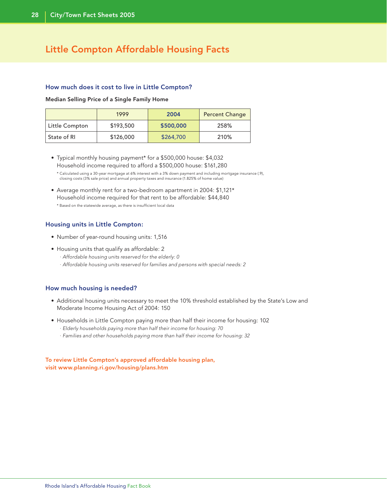### Little Compton Affordable Housing Facts

### How much does it cost to live in Little Compton?

Median Selling Price of a Single Family Home

|                | 1999      | 2004      | <b>Percent Change</b> |
|----------------|-----------|-----------|-----------------------|
| Little Compton | \$193,500 | \$500,000 | 258%                  |
| State of RI    | \$126,000 | \$264,700 | 210%                  |

- Typical monthly housing payment\* for a \$500,000 house: \$4,032 Household income required to afford a \$500,000 house: \$161,280
	- \* Calculated using a 30-year mortgage at 6% interest with a 3% down payment and including mortgage insurance (.9), closing costs (3% sale price) and annual property taxes and insurance (1.825% of home value)
- Average monthly rent for a two-bedroom apartment in 2004: \$1,121\* Household income required for that rent to be affordable: \$44,840 \* Based on the statewide average, as there is insufficient local data

### Housing units in Little Compton:

- Number of year-round housing units: 1,516
- Housing units that qualify as affordable: 2
	- · Affordable housing units reserved for the elderly: 0
	- · Affordable housing units reserved for families and persons with special needs: 2

### How much housing is needed?

- Additional housing units necessary to meet the 10% threshold established by the State's Low and Moderate Income Housing Act of 2004: 150
- Households in Little Compton paying more than half their income for housing: 102 · Elderly households paying more than half their income for housing: 70
	- · Families and other households paying more than half their income for housing: 32

### To review Little Compton's approved affordable housing plan, visit www.planning.ri.gov/housing/plans.htm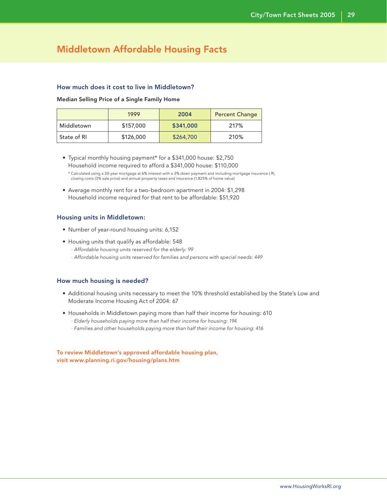### Middletown Affordable Housing Facts

### How much does it cost to live in Middletown?

#### Median Selling Price of a Single Family Home

|             | 1999      | 2004      | <b>Percent Change</b> |
|-------------|-----------|-----------|-----------------------|
| Middletown  | \$157,000 | \$341,000 | 217%                  |
| State of RI | \$126,000 | \$264,700 | 210%                  |

 • Typical monthly housing payment\* for a \$341,000 house: \$2,750 Household income required to afford a \$341,000 house: \$110,000

 • Average monthly rent for a two-bedroom apartment in 2004: \$1,298 Household income required for that rent to be affordable: \$51,920

### Housing units in Middletown:

- Number of year-round housing units: 6,152
- Housing units that qualify as affordable: 548
	- · Affordable housing units reserved for the elderly: 99
	- · Affordable housing units reserved for families and persons with special needs: 449

### How much housing is needed?

- Additional housing units necessary to meet the 10% threshold established by the State's Low and Moderate Income Housing Act of 2004: 67
- Households in Middletown paying more than half their income for housing: 610
	- · Elderly households paying more than half their income for housing: 194
	- · Families and other households paying more than half their income for housing: 416

To review Middletown's approved affordable housing plan, visit www.planning.ri.gov/housing/plans.htm

 <sup>\*</sup> Calculated using a 30-year mortgage at 6% interest with a 3% down payment and including mortgage insurance (.9), closing costs (3% sale price) and annual property taxes and insurance (1.825% of home value)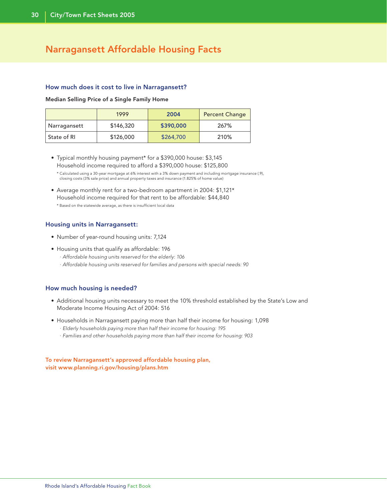### Narragansett Affordable Housing Facts

#### How much does it cost to live in Narragansett?

Median Selling Price of a Single Family Home

|              | 1999      | 2004      | <b>Percent Change</b> |
|--------------|-----------|-----------|-----------------------|
| Narragansett | \$146,320 | \$390,000 | 267%                  |
| State of RI  | \$126,000 | \$264,700 | 210%                  |

- Typical monthly housing payment\* for a \$390,000 house: \$3,145 Household income required to afford a \$390,000 house: \$125,800
	- \* Calculated using a 30-year mortgage at 6% interest with a 3% down payment and including mortgage insurance (.9), closing costs (3% sale price) and annual property taxes and insurance (1.825% of home value)
- Average monthly rent for a two-bedroom apartment in 2004: \$1,121\* Household income required for that rent to be affordable: \$44,840 \* Based on the statewide average, as there is insufficient local data

### Housing units in Narragansett:

- Number of year-round housing units: 7,124
- Housing units that qualify as affordable: 196
	- · Affordable housing units reserved for the elderly: 106
	- · Affordable housing units reserved for families and persons with special needs: 90

### How much housing is needed?

- Additional housing units necessary to meet the 10% threshold established by the State's Low and Moderate Income Housing Act of 2004: 516
- Households in Narragansett paying more than half their income for housing: 1,098 · Elderly households paying more than half their income for housing: 195
	- · Families and other households paying more than half their income for housing: 903

### To review Narragansett's approved affordable housing plan, visit www.planning.ri.gov/housing/plans.htm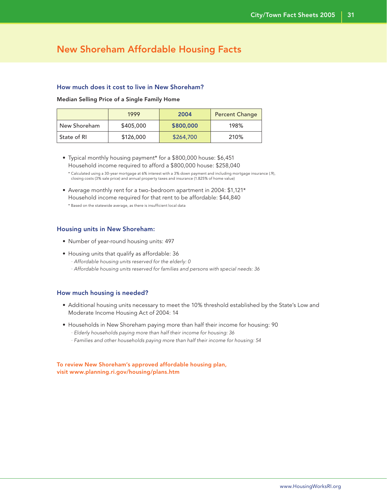### New Shoreham Affordable Housing Facts

### How much does it cost to live in New Shoreham?

#### Median Selling Price of a Single Family Home

|              | 1999      | 2004      | <b>Percent Change</b> |
|--------------|-----------|-----------|-----------------------|
| New Shoreham | \$405,000 | \$800,000 | 198%                  |
| State of RI  | \$126,000 | \$264,700 | 210%                  |

 • Typical monthly housing payment\* for a \$800,000 house: \$6,451 Household income required to afford a \$800,000 house: \$258,040

 • Average monthly rent for a two-bedroom apartment in 2004: \$1,121\* Household income required for that rent to be affordable: \$44,840 \* Based on the statewide average, as there is insufficient local data

### Housing units in New Shoreham:

- Number of year-round housing units: 497
- Housing units that qualify as affordable: 36
	- · Affordable housing units reserved for the elderly: 0
	- · Affordable housing units reserved for families and persons with special needs: 36

### How much housing is needed?

- Additional housing units necessary to meet the 10% threshold established by the State's Low and Moderate Income Housing Act of 2004: 14
- Households in New Shoreham paying more than half their income for housing: 90
	- · Elderly households paying more than half their income for housing: 36
	- · Families and other households paying more than half their income for housing: 54

To review New Shoreham's approved affordable housing plan, visit www.planning.ri.gov/housing/plans.htm

 <sup>\*</sup> Calculated using a 30-year mortgage at 6% interest with a 3% down payment and including mortgage insurance (.9), closing costs (3% sale price) and annual property taxes and insurance (1.825% of home value)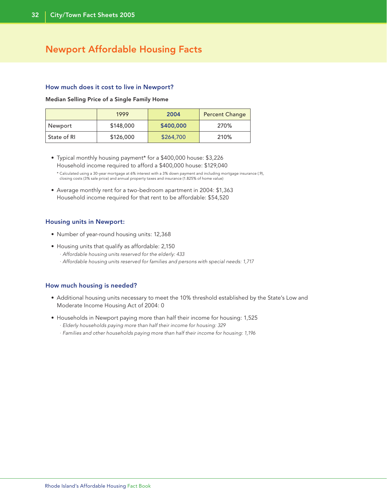### Newport Affordable Housing Facts

#### How much does it cost to live in Newport?

Median Selling Price of a Single Family Home

|             | 1999      | 2004      | <b>Percent Change</b> |
|-------------|-----------|-----------|-----------------------|
| Newport     | \$148,000 | \$400,000 | 270%                  |
| State of RI | \$126,000 | \$264,700 | 210%                  |

 • Typical monthly housing payment\* for a \$400,000 house: \$3,226 Household income required to afford a \$400,000 house: \$129,040

 \* Calculated using a 30-year mortgage at 6% interest with a 3% down payment and including mortgage insurance (.9), closing costs (3% sale price) and annual property taxes and insurance (1.825% of home value)

 • Average monthly rent for a two-bedroom apartment in 2004: \$1,363 Household income required for that rent to be affordable: \$54,520

### Housing units in Newport:

- Number of year-round housing units: 12,368
- Housing units that qualify as affordable: 2,150
	- · Affordable housing units reserved for the elderly: 433
	- · Affordable housing units reserved for families and persons with special needs: 1,717

- Additional housing units necessary to meet the 10% threshold established by the State's Low and Moderate Income Housing Act of 2004: 0
- Households in Newport paying more than half their income for housing: 1,525
	- · Elderly households paying more than half their income for housing: 329
	- · Families and other households paying more than half their income for housing: 1,196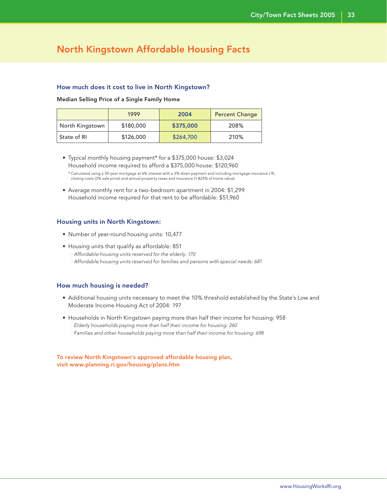### North Kingstown Affordable Housing Facts

### How much does it cost to live in North Kingstown?

#### Median Selling Price of a Single Family Home

|                 | 1999      | 2004      | <b>Percent Change</b> |
|-----------------|-----------|-----------|-----------------------|
| North Kingstown | \$180,000 | \$375,000 | 208%                  |
| State of RI     | \$126,000 | \$264,700 | 210%                  |

 • Typical monthly housing payment\* for a \$375,000 house: \$3,024 Household income required to afford a \$375,000 house: \$120,960

 • Average monthly rent for a two-bedroom apartment in 2004: \$1,299 Household income required for that rent to be affordable: \$51,960

### Housing units in North Kingstown:

- Number of year-round housing units: 10,477
- Housing units that qualify as affordable: 851 · Affordable housing units reserved for the elderly: 170 · Affordable housing units reserved for families and persons with special needs: 681

### How much housing is needed?

- Additional housing units necessary to meet the 10% threshold established by the State's Low and Moderate Income Housing Act of 2004: 197
- Households in North Kingstown paying more than half their income for housing: 958
	- · Elderly households paying more than half their income for housing: 260
	- · Families and other households paying more than half their income for housing: 698

To review North Kingstown's approved affordable housing plan, visit www.planning.ri.gov/housing/plans.htm

 <sup>\*</sup> Calculated using a 30-year mortgage at 6% interest with a 3% down payment and including mortgage insurance (.9), closing costs (3% sale price) and annual property taxes and insurance (1.825% of home value)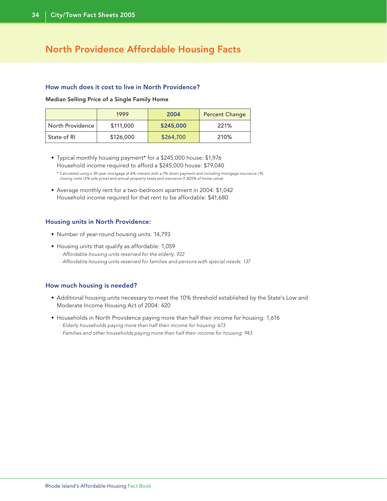### North Providence Affordable Housing Facts

### How much does it cost to live in North Providence?

Median Selling Price of a Single Family Home

|                  | 1999      | 2004      | <b>Percent Change</b> |
|------------------|-----------|-----------|-----------------------|
| North Providence | \$111,000 | \$245,000 | 221%                  |
| State of RI      | \$126,000 | \$264,700 | 210%                  |

 • Typical monthly housing payment\* for a \$245,000 house: \$1,976 Household income required to afford a \$245,000 house: \$79,040

 \* Calculated using a 30-year mortgage at 6% interest with a 3% down payment and including mortgage insurance (.9), closing costs (3% sale price) and annual property taxes and insurance (1.825% of home value)

 • Average monthly rent for a two-bedroom apartment in 2004: \$1,042 Household income required for that rent to be affordable: \$41,680

### Housing units in North Providence:

- Number of year-round housing units: 14,793
- Housing units that qualify as affordable: 1,059
	- · Affordable housing units reserved for the elderly: 922
	- · Affordable housing units reserved for families and persons with special needs: 137

- Additional housing units necessary to meet the 10% threshold established by the State's Low and Moderate Income Housing Act of 2004: 420
- Households in North Providence paying more than half their income for housing: 1,616
	- · Elderly households paying more than half their income for housing: 673
	- · Families and other households paying more than half their income for housing: 943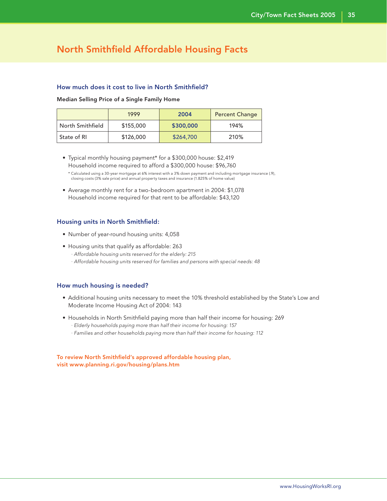### North Smithfield Affordable Housing Facts

### How much does it cost to live in North Smithfield?

#### Median Selling Price of a Single Family Home

|                  | 1999      | 2004      | <b>Percent Change</b> |
|------------------|-----------|-----------|-----------------------|
| North Smithfield | \$155,000 | \$300,000 | 194%                  |
| State of RI      | \$126,000 | \$264,700 | 210%                  |

 • Typical monthly housing payment\* for a \$300,000 house: \$2,419 Household income required to afford a \$300,000 house: \$96,760

 • Average monthly rent for a two-bedroom apartment in 2004: \$1,078 Household income required for that rent to be affordable: \$43,120

### Housing units in North Smithfield:

- Number of year-round housing units: 4,058
- Housing units that qualify as affordable: 263 · Affordable housing units reserved for the elderly: 215 · Affordable housing units reserved for families and persons with special needs: 48

### How much housing is needed?

- Additional housing units necessary to meet the 10% threshold established by the State's Low and Moderate Income Housing Act of 2004: 143
- Households in North Smithfield paying more than half their income for housing: 269
	- · Elderly households paying more than half their income for housing: 157
	- · Families and other households paying more than half their income for housing: 112

To review North Smithfield's approved affordable housing plan, visit www.planning.ri.gov/housing/plans.htm

 <sup>\*</sup> Calculated using a 30-year mortgage at 6% interest with a 3% down payment and including mortgage insurance (.9), closing costs (3% sale price) and annual property taxes and insurance (1.825% of home value)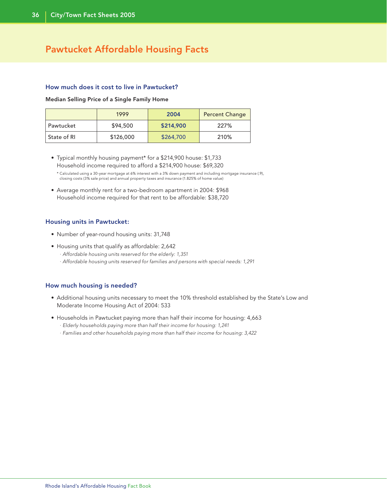### Pawtucket Affordable Housing Facts

### How much does it cost to live in Pawtucket?

#### Median Selling Price of a Single Family Home

|             | 1999      | 2004      | <b>Percent Change</b> |
|-------------|-----------|-----------|-----------------------|
| Pawtucket   | \$94,500  | \$214,900 | 227%                  |
| State of RI | \$126,000 | \$264,700 | 210%                  |

- Typical monthly housing payment\* for a \$214,900 house: \$1,733 Household income required to afford a \$214,900 house: \$69,320
	- \* Calculated using a 30-year mortgage at 6% interest with a 3% down payment and including mortgage insurance (.9), closing costs (3% sale price) and annual property taxes and insurance (1.825% of home value)
- Average monthly rent for a two-bedroom apartment in 2004: \$968 Household income required for that rent to be affordable: \$38,720

### Housing units in Pawtucket:

- Number of year-round housing units: 31,748
- Housing units that qualify as affordable: 2,642
	- · Affordable housing units reserved for the elderly: 1,351
	- · Affordable housing units reserved for families and persons with special needs: 1,291

- Additional housing units necessary to meet the 10% threshold established by the State's Low and Moderate Income Housing Act of 2004: 533
- Households in Pawtucket paying more than half their income for housing: 4,663
	- · Elderly households paying more than half their income for housing: 1,241
	- · Families and other households paying more than half their income for housing: 3,422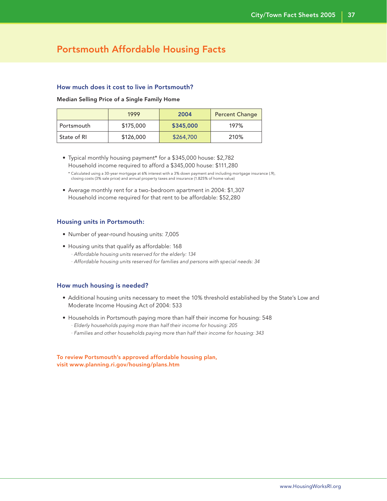### Portsmouth Affordable Housing Facts

### How much does it cost to live in Portsmouth?

#### Median Selling Price of a Single Family Home

|             | 1999      | 2004      | <b>Percent Change</b> |
|-------------|-----------|-----------|-----------------------|
| Portsmouth  | \$175,000 | \$345,000 | 197%                  |
| State of RI | \$126,000 | \$264,700 | 210%                  |

 • Typical monthly housing payment\* for a \$345,000 house: \$2,782 Household income required to afford a \$345,000 house: \$111,280

 • Average monthly rent for a two-bedroom apartment in 2004: \$1,307 Household income required for that rent to be affordable: \$52,280

### Housing units in Portsmouth:

- Number of year-round housing units: 7,005
- Housing units that qualify as affordable: 168 · Affordable housing units reserved for the elderly: 134 · Affordable housing units reserved for families and persons with special needs: 34

### How much housing is needed?

- Additional housing units necessary to meet the 10% threshold established by the State's Low and Moderate Income Housing Act of 2004: 533
- Households in Portsmouth paying more than half their income for housing: 548
	- · Elderly households paying more than half their income for housing: 205
	- · Families and other households paying more than half their income for housing: 343

To review Portsmouth's approved affordable housing plan, visit www.planning.ri.gov/housing/plans.htm

 <sup>\*</sup> Calculated using a 30-year mortgage at 6% interest with a 3% down payment and including mortgage insurance (.9), closing costs (3% sale price) and annual property taxes and insurance (1.825% of home value)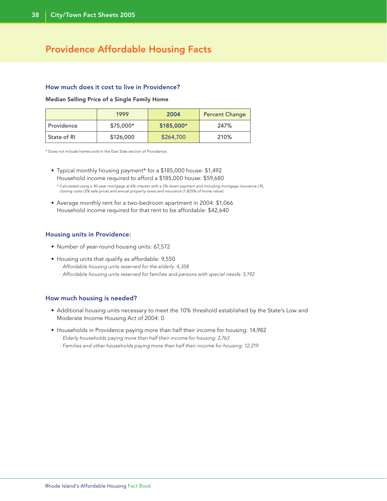### Providence Affordable Housing Facts

### How much does it cost to live in Providence?

#### Median Selling Price of a Single Family Home

|               | 1999       | 2004       | <b>Percent Change</b> |
|---------------|------------|------------|-----------------------|
| Providence    | $$75.000*$ | \$185,000* | 247%                  |
| ' State of RI | \$126,000  | \$264,700  | 210%                  |

\* Does not include homes sold in the East Side section of Providence.

- Typical monthly housing payment\* for a \$185,000 house: \$1,492 Household income required to afford a \$185,000 house: \$59,680
	- \* Calculated using a 30-year mortgage at 6% interest with a 3% down payment and including mortgage insurance (.9), closing costs (3% sale price) and annual property taxes and insurance (1.825% of home value)
- Average monthly rent for a two-bedroom apartment in 2004: \$1,066 Household income required for that rent to be affordable: \$42,640

### Housing units in Providence:

- Number of year-round housing units: 67,572
- Housing units that qualify as affordable: 9,550
	- · Affordable housing units reserved for the elderly: 4,358
	- · Affordable housing units reserved for families and persons with special needs: 5,192

- Additional housing units necessary to meet the 10% threshold established by the State's Low and Moderate Income Housing Act of 2004: 0
- Households in Providence paying more than half their income for housing: 14,982
	- · Elderly households paying more than half their income for housing: 2,763
	- · Families and other households paying more than half their income for housing: 12,219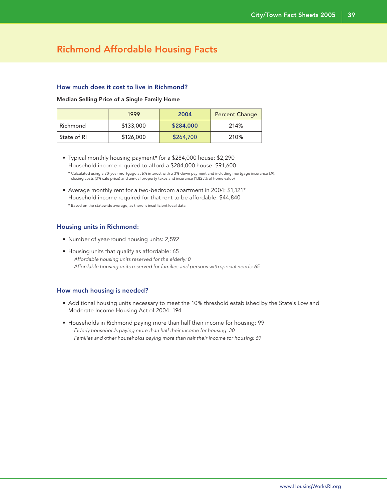### Richmond Affordable Housing Facts

### How much does it cost to live in Richmond?

#### Median Selling Price of a Single Family Home

|             | 1999      | 2004      | <b>Percent Change</b> |
|-------------|-----------|-----------|-----------------------|
| Richmond    | \$133,000 | \$284,000 | 214%                  |
| State of RI | \$126,000 | \$264,700 | 210%                  |

 • Typical monthly housing payment\* for a \$284,000 house: \$2,290 Household income required to afford a \$284,000 house: \$91,600

 • Average monthly rent for a two-bedroom apartment in 2004: \$1,121\* Household income required for that rent to be affordable: \$44,840 \* Based on the statewide average, as there is insufficient local data

#### Housing units in Richmond:

- Number of year-round housing units: 2,592
- Housing units that qualify as affordable: 65
	- · Affordable housing units reserved for the elderly: 0
	- · Affordable housing units reserved for families and persons with special needs: 65

- Additional housing units necessary to meet the 10% threshold established by the State's Low and Moderate Income Housing Act of 2004: 194
- Households in Richmond paying more than half their income for housing: 99 · Elderly households paying more than half their income for housing: 30
	- · Families and other households paying more than half their income for housing: 69

 <sup>\*</sup> Calculated using a 30-year mortgage at 6% interest with a 3% down payment and including mortgage insurance (.9), closing costs (3% sale price) and annual property taxes and insurance (1.825% of home value)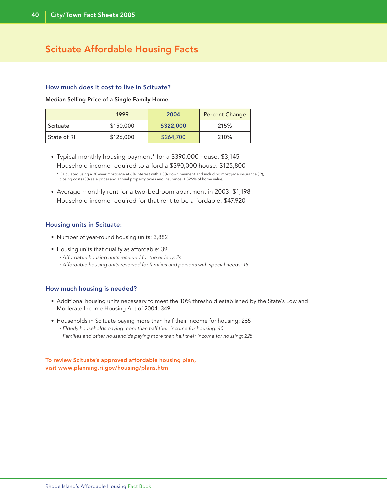### Scituate Affordable Housing Facts

### How much does it cost to live in Scituate?

Median Selling Price of a Single Family Home

|             | 1999      | 2004      | <b>Percent Change</b> |
|-------------|-----------|-----------|-----------------------|
| Scituate    | \$150,000 | \$322,000 | 215%                  |
| State of RI | \$126,000 | \$264,700 | 210%                  |

• Typical monthly housing payment\* for a \$390,000 house: \$3,145 Household income required to afford a \$390,000 house: \$125,800

• Average monthly rent for a two-bedroom apartment in 2003: \$1,198 Household income required for that rent to be affordable: \$47,920

### Housing units in Scituate:

- Number of year-round housing units: 3,882
- Housing units that qualify as affordable: 39
	- · Affordable housing units reserved for the elderly: 24
	- · Affordable housing units reserved for families and persons with special needs: 15

### How much housing is needed?

- Additional housing units necessary to meet the 10% threshold established by the State's Low and Moderate Income Housing Act of 2004: 349
- Households in Scituate paying more than half their income for housing: 265 · Elderly households paying more than half their income for housing: 40
	- · Families and other households paying more than half their income for housing: 225

To review Scituate's approved affordable housing plan, visit www.planning.ri.gov/housing/plans.htm

 <sup>\*</sup> Calculated using a 30-year mortgage at 6% interest with a 3% down payment and including mortgage insurance (.9), closing costs (3% sale price) and annual property taxes and insurance (1.825% of home value)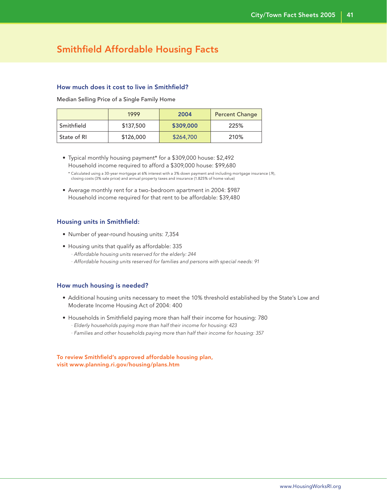### Smithfield Affordable Housing Facts

### How much does it cost to live in Smithfield?

Median Selling Price of a Single Family Home

|             | 1999      | 2004      | <b>Percent Change</b> |
|-------------|-----------|-----------|-----------------------|
| Smithfield  | \$137,500 | \$309,000 | 225%                  |
| State of RI | \$126,000 | \$264,700 | 210%                  |

 • Typical monthly housing payment\* for a \$309,000 house: \$2,492 Household income required to afford a \$309,000 house: \$99,680

 • Average monthly rent for a two-bedroom apartment in 2004: \$987 Household income required for that rent to be affordable: \$39,480

### Housing units in Smithfield:

- Number of year-round housing units: 7,354
- Housing units that qualify as affordable: 335 · Affordable housing units reserved for the elderly: 244 · Affordable housing units reserved for families and persons with special needs: 91

### How much housing is needed?

- Additional housing units necessary to meet the 10% threshold established by the State's Low and Moderate Income Housing Act of 2004: 400
- Households in Smithfield paying more than half their income for housing: 780
	- · Elderly households paying more than half their income for housing: 423
	- · Families and other households paying more than half their income for housing: 357

To review Smithfield's approved affordable housing plan, visit www.planning.ri.gov/housing/plans.htm

 <sup>\*</sup> Calculated using a 30-year mortgage at 6% interest with a 3% down payment and including mortgage insurance (.9), closing costs (3% sale price) and annual property taxes and insurance (1.825% of home value)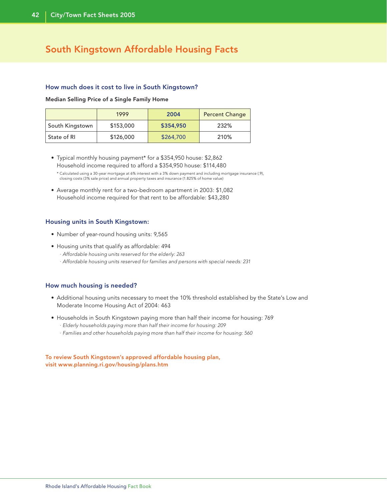### South Kingstown Affordable Housing Facts

### How much does it cost to live in South Kingstown?

Median Selling Price of a Single Family Home

|                 | 1999      | 2004      | <b>Percent Change</b> |
|-----------------|-----------|-----------|-----------------------|
| South Kingstown | \$153,000 | \$354,950 | 232%                  |
| State of RI     | \$126,000 | \$264,700 | 210%                  |

- Typical monthly housing payment\* for a \$354,950 house: \$2,862 Household income required to afford a \$354,950 house: \$114,480
	- \* Calculated using a 30-year mortgage at 6% interest with a 3% down payment and including mortgage insurance (.9), closing costs (3% sale price) and annual property taxes and insurance (1.825% of home value)
- Average monthly rent for a two-bedroom apartment in 2003: \$1,082 Household income required for that rent to be affordable: \$43,280

### Housing units in South Kingstown:

- Number of year-round housing units: 9,565
- Housing units that qualify as affordable: 494
	- · Affordable housing units reserved for the elderly: 263
	- · Affordable housing units reserved for families and persons with special needs: 231

### How much housing is needed?

- Additional housing units necessary to meet the 10% threshold established by the State's Low and Moderate Income Housing Act of 2004: 463
- Households in South Kingstown paying more than half their income for housing: 769
	- · Elderly households paying more than half their income for housing: 209
	- · Families and other households paying more than half their income for housing: 560

To review South Kingstown's approved affordable housing plan, visit www.planning.ri.gov/housing/plans.htm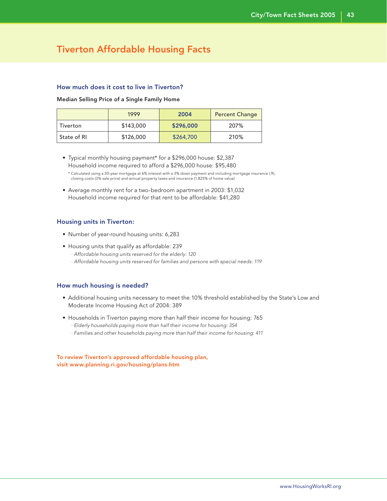### Tiverton Affordable Housing Facts

### How much does it cost to live in Tiverton?

#### Median Selling Price of a Single Family Home

|             | 1999      | 2004      | <b>Percent Change</b> |
|-------------|-----------|-----------|-----------------------|
| Tiverton    | \$143,000 | \$296,000 | 207%                  |
| State of RI | \$126,000 | \$264,700 | 210%                  |

 • Typical monthly housing payment\* for a \$296,000 house: \$2,387 Household income required to afford a \$296,000 house: \$95,480

 \* Calculated using a 30-year mortgage at 6% interest with a 3% down payment and including mortgage insurance (.9), closing costs (3% sale price) and annual property taxes and insurance (1.825% of home value)

 • Average monthly rent for a two-bedroom apartment in 2003: \$1,032 Household income required for that rent to be affordable: \$41,280

#### Housing units in Tiverton:

- Number of year-round housing units: 6,283
- Housing units that qualify as affordable: 239 · Affordable housing units reserved for the elderly: 120 · Affordable housing units reserved for families and persons with special needs: 119

### How much housing is needed?

- Additional housing units necessary to meet the 10% threshold established by the State's Low and Moderate Income Housing Act of 2004: 389
- Households in Tiverton paying more than half their income for housing: 765
	- · Elderly households paying more than half their income for housing: 354
	- · Families and other households paying more than half their income for housing: 411

To review Tiverton's approved affordable housing plan, visit www.planning.ri.gov/housing/plans.htm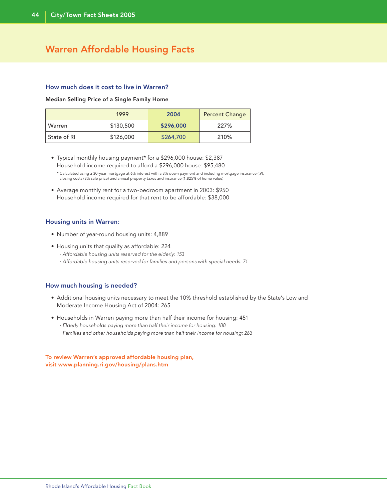### Warren Affordable Housing Facts

### How much does it cost to live in Warren?

#### Median Selling Price of a Single Family Home

|             | 1999      | 2004      | <b>Percent Change</b> |
|-------------|-----------|-----------|-----------------------|
| Warren      | \$130,500 | \$296,000 | 227%                  |
| State of RI | \$126,000 | \$264,700 | 210%                  |

- Typical monthly housing payment\* for a \$296,000 house: \$2,387 Household income required to afford a \$296,000 house: \$95,480
	- \* Calculated using a 30-year mortgage at 6% interest with a 3% down payment and including mortgage insurance (.9), closing costs (3% sale price) and annual property taxes and insurance (1.825% of home value)
- Average monthly rent for a two-bedroom apartment in 2003: \$950 Household income required for that rent to be affordable: \$38,000

#### Housing units in Warren:

- Number of year-round housing units: 4,889
- Housing units that qualify as affordable: 224
	- · Affordable housing units reserved for the elderly: 153
	- · Affordable housing units reserved for families and persons with special needs: 71

### How much housing is needed?

- Additional housing units necessary to meet the 10% threshold established by the State's Low and Moderate Income Housing Act of 2004: 265
- Households in Warren paying more than half their income for housing: 451
	- · Elderly households paying more than half their income for housing: 188
	- · Families and other households paying more than half their income for housing: 263

To review Warren's approved affordable housing plan, visit www.planning.ri.gov/housing/plans.htm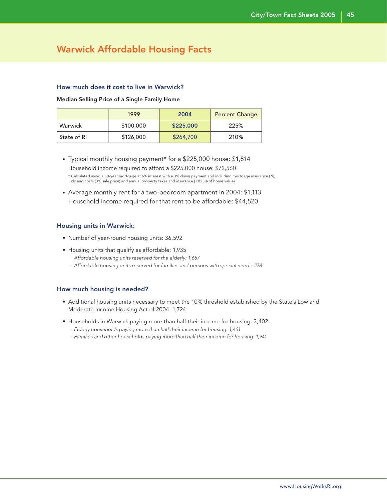### Warwick Affordable Housing Facts

### How much does it cost to live in Warwick?

Median Selling Price of a Single Family Home

|             | 1999      | 2004      | <b>Percent Change</b> |
|-------------|-----------|-----------|-----------------------|
| Warwick     | \$100,000 | \$225,000 | 225%                  |
| State of RI | \$126,000 | \$264,700 | 210%                  |

- Typical monthly housing payment\* for a \$225,000 house: \$1,814 Household income required to afford a \$225,000 house: \$72,560 \* Calculated using a 30-year mortgage at 6% interest with a 3% down payment and including mortgage insurance (.9), closing costs (3% sale price) and annual property taxes and insurance (1.825% of home value)
- Average monthly rent for a two-bedroom apartment in 2004: \$1,113 Household income required for that rent to be affordable: \$44,520

### Housing units in Warwick:

- Number of year-round housing units: 36,592
- Housing units that qualify as affordable: 1,935
	- · Affordable housing units reserved for the elderly: 1,657
	- · Affordable housing units reserved for families and persons with special needs: 278

- Additional housing units necessary to meet the 10% threshold established by the State's Low and Moderate Income Housing Act of 2004: 1,724
- Households in Warwick paying more than half their income for housing: 3,402 · Elderly households paying more than half their income for housing: 1,461
	- · Families and other households paying more than half their income for housing: 1,941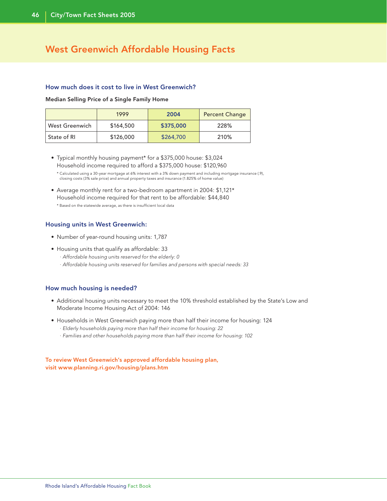### West Greenwich Affordable Housing Facts

### How much does it cost to live in West Greenwich?

Median Selling Price of a Single Family Home

|                       | 1999      | 2004      | <b>Percent Change</b> |
|-----------------------|-----------|-----------|-----------------------|
| <b>West Greenwich</b> | \$164,500 | \$375,000 | 228%                  |
| State of RI           | \$126,000 | \$264,700 | 210%                  |

- Typical monthly housing payment\* for a \$375,000 house: \$3,024 Household income required to afford a \$375,000 house: \$120,960
	- \* Calculated using a 30-year mortgage at 6% interest with a 3% down payment and including mortgage insurance (.9), closing costs (3% sale price) and annual property taxes and insurance (1.825% of home value)
- Average monthly rent for a two-bedroom apartment in 2004: \$1,121\* Household income required for that rent to be affordable: \$44,840 \* Based on the statewide average, as there is insufficient local data

### Housing units in West Greenwich:

- Number of year-round housing units: 1,787
- Housing units that qualify as affordable: 33
	- · Affordable housing units reserved for the elderly: 0
	- · Affordable housing units reserved for families and persons with special needs: 33

### How much housing is needed?

- Additional housing units necessary to meet the 10% threshold established by the State's Low and Moderate Income Housing Act of 2004: 146
- Households in West Greenwich paying more than half their income for housing: 124 · Elderly households paying more than half their income for housing: 22
	- · Families and other households paying more than half their income for housing: 102

### To review West Greenwich's approved affordable housing plan, visit www.planning.ri.gov/housing/plans.htm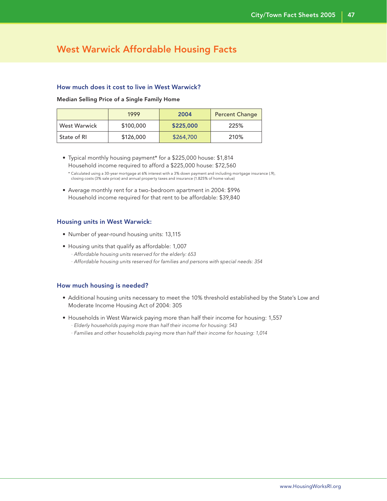### West Warwick Affordable Housing Facts

### How much does it cost to live in West Warwick?

Median Selling Price of a Single Family Home

|                     | 1999      | 2004      | <b>Percent Change</b> |
|---------------------|-----------|-----------|-----------------------|
| <b>West Warwick</b> | \$100,000 | \$225,000 | 225%                  |
| State of RI         | \$126,000 | \$264,700 | 210%                  |

 • Typical monthly housing payment\* for a \$225,000 house: \$1,814 Household income required to afford a \$225,000 house: \$72,560

 • Average monthly rent for a two-bedroom apartment in 2004: \$996 Household income required for that rent to be affordable: \$39,840

#### Housing units in West Warwick:

- Number of year-round housing units: 13,115
- Housing units that qualify as affordable: 1,007 · Affordable housing units reserved for the elderly: 653 · Affordable housing units reserved for families and persons with special needs: 354

- Additional housing units necessary to meet the 10% threshold established by the State's Low and Moderate Income Housing Act of 2004: 305
- Households in West Warwick paying more than half their income for housing: 1,557
	- · Elderly households paying more than half their income for housing: 543
	- · Families and other households paying more than half their income for housing: 1,014

 <sup>\*</sup> Calculated using a 30-year mortgage at 6% interest with a 3% down payment and including mortgage insurance (.9), closing costs (3% sale price) and annual property taxes and insurance (1.825% of home value)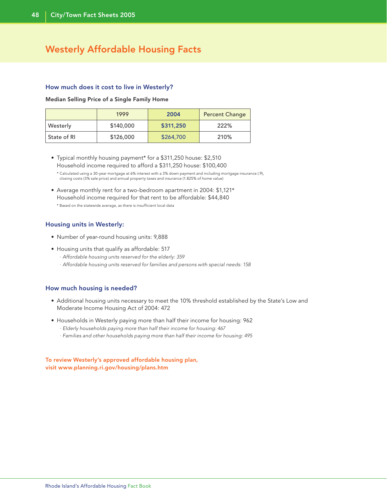### Westerly Affordable Housing Facts

### How much does it cost to live in Westerly?

Median Selling Price of a Single Family Home

|             | 1999      | 2004      | <b>Percent Change</b> |
|-------------|-----------|-----------|-----------------------|
| Westerly    | \$140,000 | \$311,250 | 222%                  |
| State of RI | \$126,000 | \$264,700 | 210%                  |

 • Typical monthly housing payment\* for a \$311,250 house: \$2,510 Household income required to afford a \$311,250 house: \$100,400

 \* Calculated using a 30-year mortgage at 6% interest with a 3% down payment and including mortgage insurance (.9), closing costs (3% sale price) and annual property taxes and insurance (1.825% of home value)

 • Average monthly rent for a two-bedroom apartment in 2004: \$1,121\* Household income required for that rent to be affordable: \$44,840 \* Based on the statewide average, as there is insufficient local data

### Housing units in Westerly:

- Number of year-round housing units: 9,888
- Housing units that qualify as affordable: 517
	- · Affordable housing units reserved for the elderly: 359
	- · Affordable housing units reserved for families and persons with special needs: 158

### How much housing is needed?

- Additional housing units necessary to meet the 10% threshold established by the State's Low and Moderate Income Housing Act of 2004: 472
- Households in Westerly paying more than half their income for housing: 962 · Elderly households paying more than half their income for housing: 467
	- · Families and other households paying more than half their income for housing: 495

To review Westerly's approved affordable housing plan, visit www.planning.ri.gov/housing/plans.htm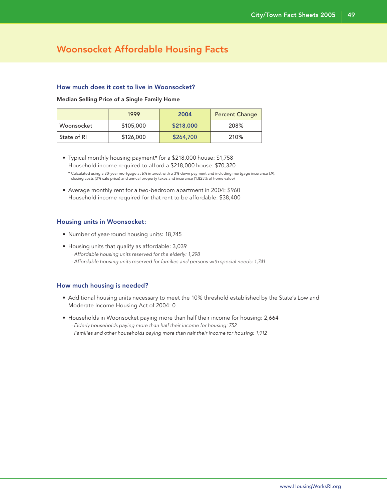### Woonsocket Affordable Housing Facts

### How much does it cost to live in Woonsocket?

#### Median Selling Price of a Single Family Home

|             | 1999      | 2004      | <b>Percent Change</b> |
|-------------|-----------|-----------|-----------------------|
| Woonsocket  | \$105,000 | \$218,000 | 208%                  |
| State of RI | \$126,000 | \$264,700 | 210%                  |

 • Typical monthly housing payment\* for a \$218,000 house: \$1,758 Household income required to afford a \$218,000 house: \$70,320

 • Average monthly rent for a two-bedroom apartment in 2004: \$960 Household income required for that rent to be affordable: \$38,400

### Housing units in Woonsocket:

- Number of year-round housing units: 18,745
- Housing units that qualify as affordable: 3,039 · Affordable housing units reserved for the elderly: 1,298 · Affordable housing units reserved for families and persons with special needs: 1,741

- Additional housing units necessary to meet the 10% threshold established by the State's Low and Moderate Income Housing Act of 2004: 0
- Households in Woonsocket paying more than half their income for housing: 2,664
	- · Elderly households paying more than half their income for housing: 752
	- · Families and other households paying more than half their income for housing: 1,912

 <sup>\*</sup> Calculated using a 30-year mortgage at 6% interest with a 3% down payment and including mortgage insurance (.9), closing costs (3% sale price) and annual property taxes and insurance (1.825% of home value)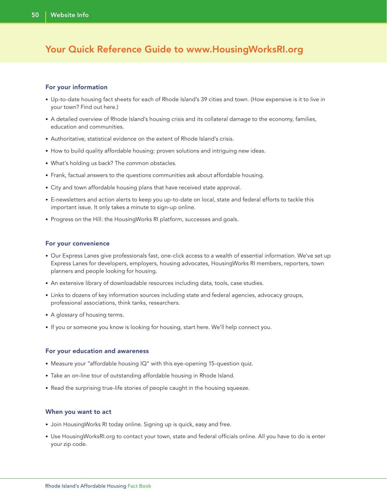### Your Quick Reference Guide to www.HousingWorksRI.org

### For your information

- Up-to-date housing fact sheets for each of Rhode Island's 39 cities and town. (How expensive is it to live in your town? Find out here.)
- A detailed overview of Rhode Island's housing crisis and its collateral damage to the economy, families, education and communities.
- Authoritative, statistical evidence on the extent of Rhode Island's crisis.
- How to build quality affordable housing: proven solutions and intriguing new ideas.
- What's holding us back? The common obstacles.
- Frank, factual answers to the questions communities ask about affordable housing.
- City and town affordable housing plans that have received state approval.
- E-newsletters and action alerts to keep you up-to-date on local, state and federal efforts to tackle this important issue. It only takes a minute to sign-up online.
- Progress on the Hill: the HousingWorks RI platform, successes and goals.

#### For your convenience

- Our Express Lanes give professionals fast, one-click access to a wealth of essential information. We've set up Express Lanes for developers, employers, housing advocates, HousingWorks RI members, reporters, town planners and people looking for housing.
- An extensive library of downloadable resources including data, tools, case studies.
- Links to dozens of key information sources including state and federal agencies, advocacy groups, professional associations, think tanks, researchers.
- A glossary of housing terms.
- If you or someone you know is looking for housing, start here. We'll help connect you.

#### For your education and awareness

- Measure your "affordable housing IQ" with this eye-opening 15-question quiz.
- Take an on-line tour of outstanding affordable housing in Rhode Island.
- Read the surprising true-life stories of people caught in the housing squeeze.

#### When you want to act

- Join HousingWorks RI today online. Signing up is quick, easy and free.
- Use HousingWorksRI.org to contact your town, state and federal officials online. All you have to do is enter your zip code.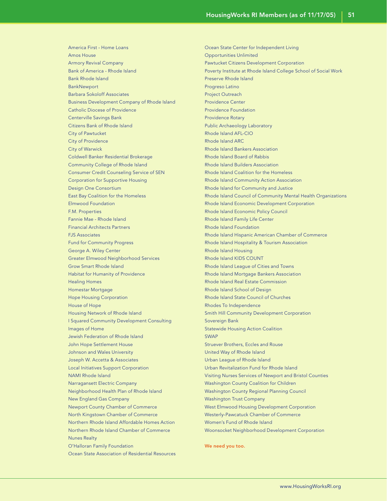America First - Home Loans Amos House Armory Revival Company Bank of America - Rhode Island Bank Rhode Island BankNewport Barbara Sokoloff Associates Business Development Company of Rhode Island Catholic Diocese of Providence Centerville Savings Bank Citizens Bank of Rhode Island City of Pawtucket City of Providence City of Warwick Coldwell Banker Residential Brokerage Community College of Rhode Island Consumer Credit Counseling Service of SEN Corporation for Supportive Housing Design One Consortium East Bay Coalition for the Homeless Elmwood Foundation F.M. Properties Fannie Mae - Rhode Island Financial Architects Partners FJS Associates Fund for Community Progress George A. Wiley Center Greater Elmwood Neighborhood Services Grow Smart Rhode Island Habitat for Humanity of Providence Healing Homes Homestar Mortgage Hope Housing Corporation House of Hope Housing Network of Rhode Island I Squared Community Development Consulting Images of Home Jewish Federation of Rhode Island John Hope Settlement House Johnson and Wales University Joseph W. Accetta & Associates Local Initiatives Support Corporation NAMI Rhode Island Narragansett Electric Company Neighborhood Health Plan of Rhode Island New England Gas Company Newport County Chamber of Commerce North Kingstown Chamber of Commerce Northern Rhode Island Affordable Homes Action Northern Rhode Island Chamber of Commerce Nunes Realty O'Halloran Family Foundation Ocean State Association of Residential Resources

Ocean State Center for Independent Living Opportunities Unlimited Pawtucket Citizens Development Corporation Poverty Institute at Rhode Island College School of Social Work Preserve Rhode Island Progreso Latino Project Outreach Providence Center Providence Foundation Providence Rotary Public Archaeology Laboratory Rhode Island AFL-CIO Rhode Island ARC Rhode Island Bankers Association Rhode Island Board of Rabbis Rhode Island Builders Association Rhode Island Coalition for the Homeless Rhode Island Community Action Association Rhode Island for Community and Justice Rhode Island Council of Community Mental Health Organizations Rhode Island Economic Development Corporation Rhode Island Economic Policy Council Rhode Island Family Life Center Rhode Island Foundation Rhode Island Hispanic American Chamber of Commerce Rhode Island Hospitality & Tourism Association Rhode Island Housing Rhode Island KIDS COUNT Rhode Island League of Cities and Towns Rhode Island Mortgage Bankers Association Rhode Island Real Estate Commission Rhode Island School of Design Rhode Island State Council of Churches Rhodes To Independence Smith Hill Community Development Corporation Sovereign Bank Statewide Housing Action Coalition **SWAP** Struever Brothers, Eccles and Rouse United Way of Rhode Island Urban League of Rhode Island Urban Revitalization Fund for Rhode Island Visiting Nurses Services of Newport and Bristol Counties Washington County Coalition for Children Washington County Regional Planning Council Washington Trust Company West Elmwood Housing Development Corporation Westerly-Pawcatuck Chamber of Commerce Women's Fund of Rhode Island Woonsocket Neighborhood Development Corporation

We need you too.